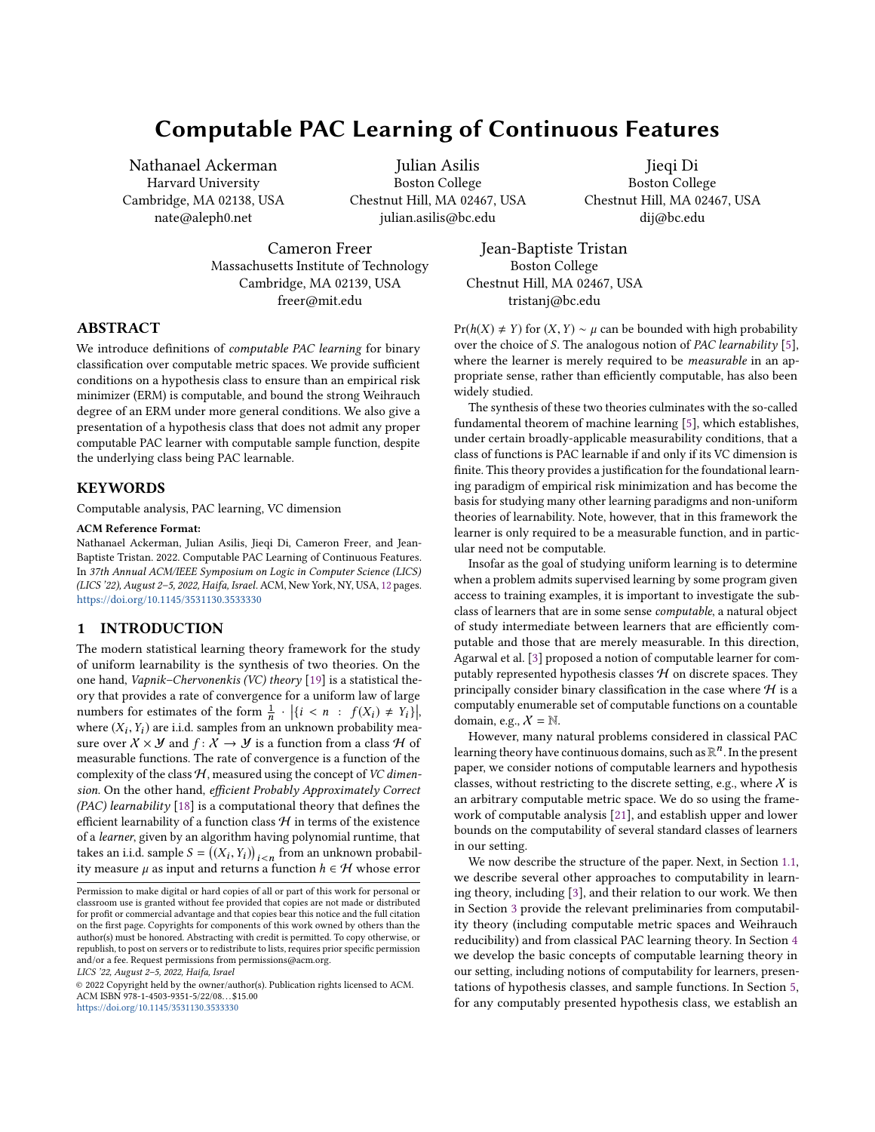# Computable PAC Learning of Continuous Features

Nathanael Ackerman Harvard University Cambridge, MA 02138, USA nate@aleph0.net

Julian Asilis Boston College Chestnut Hill, MA 02467, USA julian.asilis@bc.edu

Boston College Chestnut Hill, MA 02467, USA dij@bc.edu

Jieqi Di

Cameron Freer Massachusetts Institute of Technology Cambridge, MA 02139, USA freer@mit.edu

### ABSTRACT

We introduce definitions of computable PAC learning for binary classification over computable metric spaces. We provide sufficient conditions on a hypothesis class to ensure than an empirical risk minimizer (ERM) is computable, and bound the strong Weihrauch degree of an ERM under more general conditions. We also give a presentation of a hypothesis class that does not admit any proper computable PAC learner with computable sample function, despite the underlying class being PAC learnable.

## **KEYWORDS**

Computable analysis, PAC learning, VC dimension

#### ACM Reference Format:

Nathanael Ackerman, Julian Asilis, Jieqi Di, Cameron Freer, and Jean-Baptiste Tristan. 2022. Computable PAC Learning of Continuous Features. In 37th Annual ACM/IEEE Symposium on Logic in Computer Science (LICS) (LICS '22), August 2–5, 2022, Haifa, Israel. ACM, New York, NY, USA, [12](#page-11-0) pages. <https://doi.org/10.1145/3531130.3533330>

## 1 INTRODUCTION

The modern statistical learning theory framework for the study of uniform learnability is the synthesis of two theories. On the one hand, Vapnik–Chervonenkis (VC) theory [\[19\]](#page-11-1) is a statistical theory that provides a rate of convergence for a uniform law of large numbers for estimates of the form  $\frac{1}{n} \cdot |\{i \le n : f(X_i) \ne Y_i\}|$ , where  $(X_i, Y_i)$  are i.i.d. samples from an unknown probability mea-<br>sure over  $Y \times M$  and  $f: X \to M$  is a function from a class  $H$  of sure over  $X \times Y$  and  $f: X \to Y$  is a function from a class H of measurable functions. The rate of convergence is a function of the complexity of the class  $H$ , measured using the concept of VC dimension. On the other hand, efficient Probably Approximately Correct (PAC) learnability  $[18]$  is a computational theory that defines the efficient learnability of a function class  ${\mathcal H}$  in terms of the existence of a learner, given by an algorithm having polynomial runtime, that takes an i.i.d. sample  $S = ((X_i, Y_i))_{i \le n}$  from an unknown probabil-<br>ity measure u.gs input and returns a function  $h \in H$  whose error ity measure  $\mu$  as input and returns a function  $h \in \mathcal{H}$  whose error

LICS '22, August 2–5, 2022, Haifa, Israel

© 2022 Copyright held by the owner/author(s). Publication rights licensed to ACM. ACM ISBN 978-1-4503-9351-5/22/08. . . \$15.00 <https://doi.org/10.1145/3531130.3533330>

Jean-Baptiste Tristan Boston College Chestnut Hill, MA 02467, USA tristanj@bc.edu

 $Pr(h(X) \neq Y)$  for  $(X, Y) \sim \mu$  can be bounded with high probability over the choice of S. The analogous notion of PAC learnability [\[5\]](#page-10-0), where the learner is merely required to be *measurable* in an appropriate sense, rather than efficiently computable, has also been widely studied.

The synthesis of these two theories culminates with the so-called fundamental theorem of machine learning [\[5\]](#page-10-0), which establishes, under certain broadly-applicable measurability conditions, that a class of functions is PAC learnable if and only if its VC dimension is finite. This theory provides a justification for the foundational learning paradigm of empirical risk minimization and has become the basis for studying many other learning paradigms and non-uniform theories of learnability. Note, however, that in this framework the learner is only required to be a measurable function, and in particular need not be computable.

Insofar as the goal of studying uniform learning is to determine when a problem admits supervised learning by some program given access to training examples, it is important to investigate the subclass of learners that are in some sense computable, a natural object of study intermediate between learners that are efficiently computable and those that are merely measurable. In this direction, Agarwal et al. [\[3\]](#page-10-1) proposed a notion of computable learner for computably represented hypothesis classes  $H$  on discrete spaces. They principally consider binary classification in the case where  $H$  is a computably enumerable set of computable functions on a countable domain, e.g.,  $\mathcal{X} = \mathbb{N}$ .

However, many natural problems considered in classical PAC learning theory have continuous domains, such as  $\mathbb{R}^n$ . In the present paper, we consider notions of computable learners and hypothesis classes, without restricting to the discrete setting, e.g., where  $X$  is an arbitrary computable metric space. We do so using the framework of computable analysis [\[21\]](#page-11-3), and establish upper and lower bounds on the computability of several standard classes of learners in our setting.

We now describe the structure of the paper. Next, in Section [1.1,](#page-1-0) we describe several other approaches to computability in learning theory, including [\[3\]](#page-10-1), and their relation to our work. We then in Section [3](#page-2-0) provide the relevant preliminaries from computability theory (including computable metric spaces and Weihrauch reducibility) and from classical PAC learning theory. In Section [4](#page-6-0) we develop the basic concepts of computable learning theory in our setting, including notions of computability for learners, presentations of hypothesis classes, and sample functions. In Section [5,](#page-8-0) for any computably presented hypothesis class, we establish an

Permission to make digital or hard copies of all or part of this work for personal or classroom use is granted without fee provided that copies are not made or distributed for profit or commercial advantage and that copies bear this notice and the full citation on the first page. Copyrights for components of this work owned by others than the author(s) must be honored. Abstracting with credit is permitted. To copy otherwise, or republish, to post on servers or to redistribute to lists, requires prior specific permission and/or a fee. Request permissions from permissions@acm.org.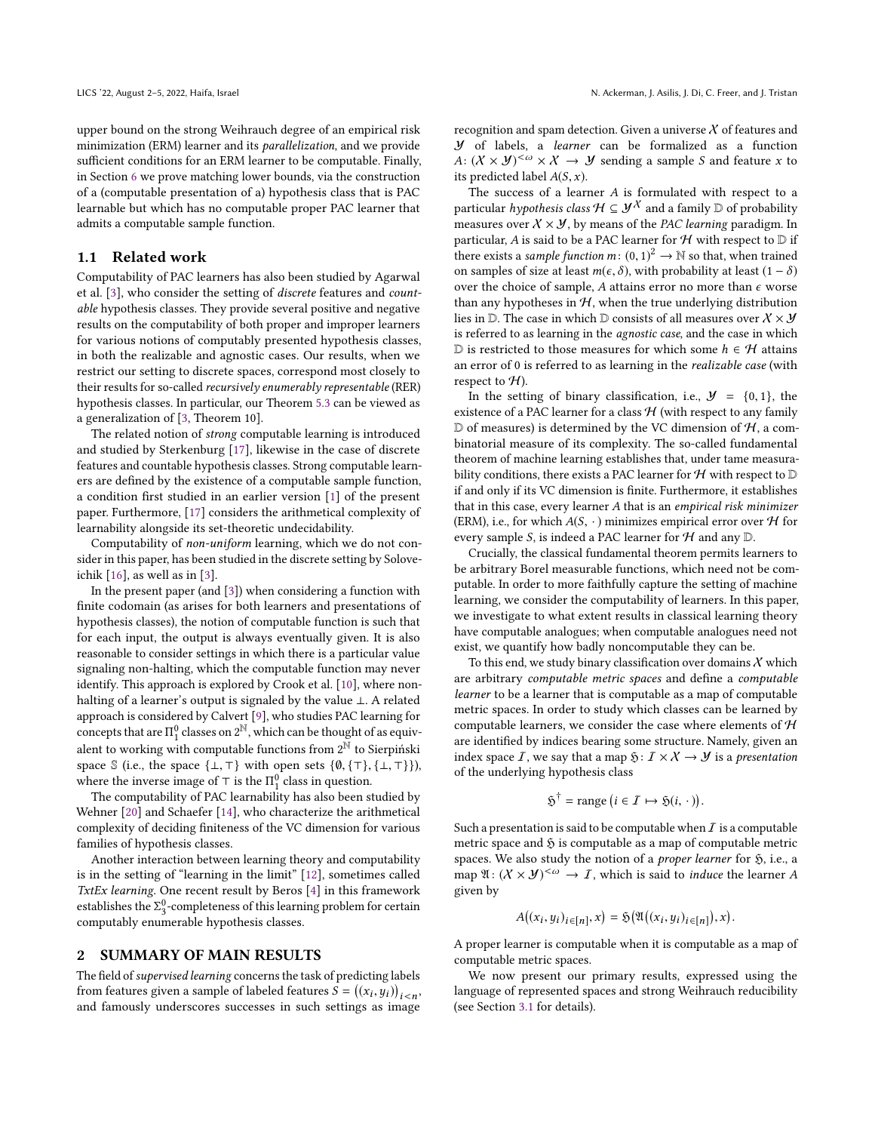upper bound on the strong Weihrauch degree of an empirical risk minimization (ERM) learner and its parallelization, and we provide sufficient conditions for an ERM learner to be computable. Finally, in Section [6](#page-9-0) we prove matching lower bounds, via the construction of a (computable presentation of a) hypothesis class that is PAC learnable but which has no computable proper PAC learner that admits a computable sample function.

#### <span id="page-1-0"></span>1.1 Related work

Computability of PAC learners has also been studied by Agarwal et al. [\[3\]](#page-10-1), who consider the setting of discrete features and countable hypothesis classes. They provide several positive and negative results on the computability of both proper and improper learners for various notions of computably presented hypothesis classes, in both the realizable and agnostic cases. Our results, when we restrict our setting to discrete spaces, correspond most closely to their results for so-called recursively enumerably representable (RER) hypothesis classes. In particular, our Theorem [5.3](#page-9-1) can be viewed as a generalization of [\[3,](#page-10-1) Theorem 10].

The related notion of strong computable learning is introduced and studied by Sterkenburg [\[17\]](#page-11-4), likewise in the case of discrete features and countable hypothesis classes. Strong computable learners are defined by the existence of a computable sample function, a condition first studied in an earlier version [\[1\]](#page-10-2) of the present paper. Furthermore, [\[17\]](#page-11-4) considers the arithmetical complexity of learnability alongside its set-theoretic undecidability.

Computability of non-uniform learning, which we do not consider in this paper, has been studied in the discrete setting by Soloveichik [\[16\]](#page-11-5), as well as in [\[3\]](#page-10-1).

In the present paper (and [\[3\]](#page-10-1)) when considering a function with finite codomain (as arises for both learners and presentations of hypothesis classes), the notion of computable function is such that for each input, the output is always eventually given. It is also reasonable to consider settings in which there is a particular value signaling non-halting, which the computable function may never identify. This approach is explored by Crook et al. [\[10\]](#page-11-6), where nonhalting of a learner's output is signaled by the value ⊥. A related approach is considered by Calvert [\[9\]](#page-11-7), who studies PAC learning for concepts that are  $\Pi_1^0$  classes on  $2^{\mathbb{N}}$ , which can be thought of as equiv-<br>clant to mealing with assumptible functions from  $2^{\mathbb{N}}$  to Sigmiddia alent to working with computable functions from  $2^{\overline{N}}$  to Sierpiński space S (i.e., the space  $\{\bot, \top\}$  with open sets  $\{\emptyset, \{\top\}, \{\bot, \top\}\}\)$ , where the inverse image of ⊤ is the  $\Pi_1^0$  class in question.<br>The computability of PAC learnshility has also been si

The computability of PAC learnability has also been studied by Wehner [\[20\]](#page-11-8) and Schaefer [\[14\]](#page-11-9), who characterize the arithmetical complexity of deciding finiteness of the VC dimension for various families of hypothesis classes.

Another interaction between learning theory and computability is in the setting of "learning in the limit" [\[12\]](#page-11-10), sometimes called TxtEx learning. One recent result by Beros [\[4\]](#page-10-3) in this framework establishes the  $\Sigma_3^0$ -completeness of this learning problem for certain<br>computably enumerable by nothesis classes computably enumerable hypothesis classes.

#### 2 SUMMARY OF MAIN RESULTS

The field of supervised learning concerns the task of predicting labels from features given a sample of labeled features  $S = ((x_i, y_i))_{i < n}$ and famously underscores successes in such settings as image

recognition and spam detection. Given a universe  $X$  of features and Y of labels, a learner can be formalized as a function A:  $(X \times Y)^{<\omega} \times X \rightarrow Y$  sending a sample S and feature x to its predicted label  $A(S, x)$ .

The success of a learner A is formulated with respect to a particular *hypothesis class*  $H \subseteq \mathcal{Y}^X$  and a family  $\mathbb D$  of probability measures over  $X \times Y$ , by means of the PAC learning paradigm. In particular, A is said to be a PAC learner for  $H$  with respect to  $D$  if there exists a *sample function*  $m: (0, 1)^2 \rightarrow \mathbb{N}$  so that, when trained<br>on samples of size at least  $m(c, \delta)$ , with probability at least  $(1 - \delta)$ on samples of size at least  $m(\epsilon, \delta)$ , with probability at least  $(1 - \delta)$ over the choice of sample, A attains error no more than  $\epsilon$  worse than any hypotheses in  $H$ , when the true underlying distribution lies in  $D$ . The case in which  $D$  consists of all measures over  $X \times Y$ is referred to as learning in the agnostic case, and the case in which D is restricted to those measures for which some  $h$  ∈  $H$  attains an error of 0 is referred to as learning in the realizable case (with respect to  $H$ ).

In the setting of binary classification, i.e.,  $\mathcal{Y} = \{0, 1\}$ , the existence of a PAC learner for a class  $H$  (with respect to any family  $D$  of measures) is determined by the VC dimension of  $H$ , a combinatorial measure of its complexity. The so-called fundamental theorem of machine learning establishes that, under tame measurability conditions, there exists a PAC learner for  $H$  with respect to  $D$ if and only if its VC dimension is finite. Furthermore, it establishes that in this case, every learner A that is an empirical risk minimizer (ERM), i.e., for which  $A(S, \cdot)$  minimizes empirical error over  ${\mathcal H}$  for every sample S, is indeed a PAC learner for  ${\mathcal H}$  and any  ${\mathbb D}.$ 

Crucially, the classical fundamental theorem permits learners to be arbitrary Borel measurable functions, which need not be computable. In order to more faithfully capture the setting of machine learning, we consider the computability of learners. In this paper, we investigate to what extent results in classical learning theory have computable analogues; when computable analogues need not exist, we quantify how badly noncomputable they can be.

To this end, we study binary classification over domains  $\chi$  which are arbitrary computable metric spaces and define a computable learner to be a learner that is computable as a map of computable metric spaces. In order to study which classes can be learned by computable learners, we consider the case where elements of  $H$ are identified by indices bearing some structure. Namely, given an index space  $I$ , we say that a map  $\mathfrak{H}: I \times X \rightarrow Y$  is a *presentation* of the underlying hypothesis class

$$
\tilde{\mathfrak{H}}^{\dagger} = \text{range} \left( i \in \mathcal{I} \mapsto \tilde{\mathfrak{H}}(i, \cdot) \right).
$$

Such a presentation is said to be computable when  $I$  is a computable metric space and  $\mathfrak H$  is computable as a map of computable metric spaces. We also study the notion of a *proper learner* for  $\mathfrak{H}$ , i.e., a map  $\mathfrak{A}: (X \times Y)^{<\omega} \to I$ , which is said to *induce* the learner A given by

$$
A((x_i,y_i)_{i\in[n]},x)=\mathfrak{H}(\mathfrak{A}((x_i,y_i)_{i\in[n]}),x).
$$

A proper learner is computable when it is computable as a map of computable metric spaces.

We now present our primary results, expressed using the language of represented spaces and strong Weihrauch reducibility (see Section [3.1](#page-2-1) for details).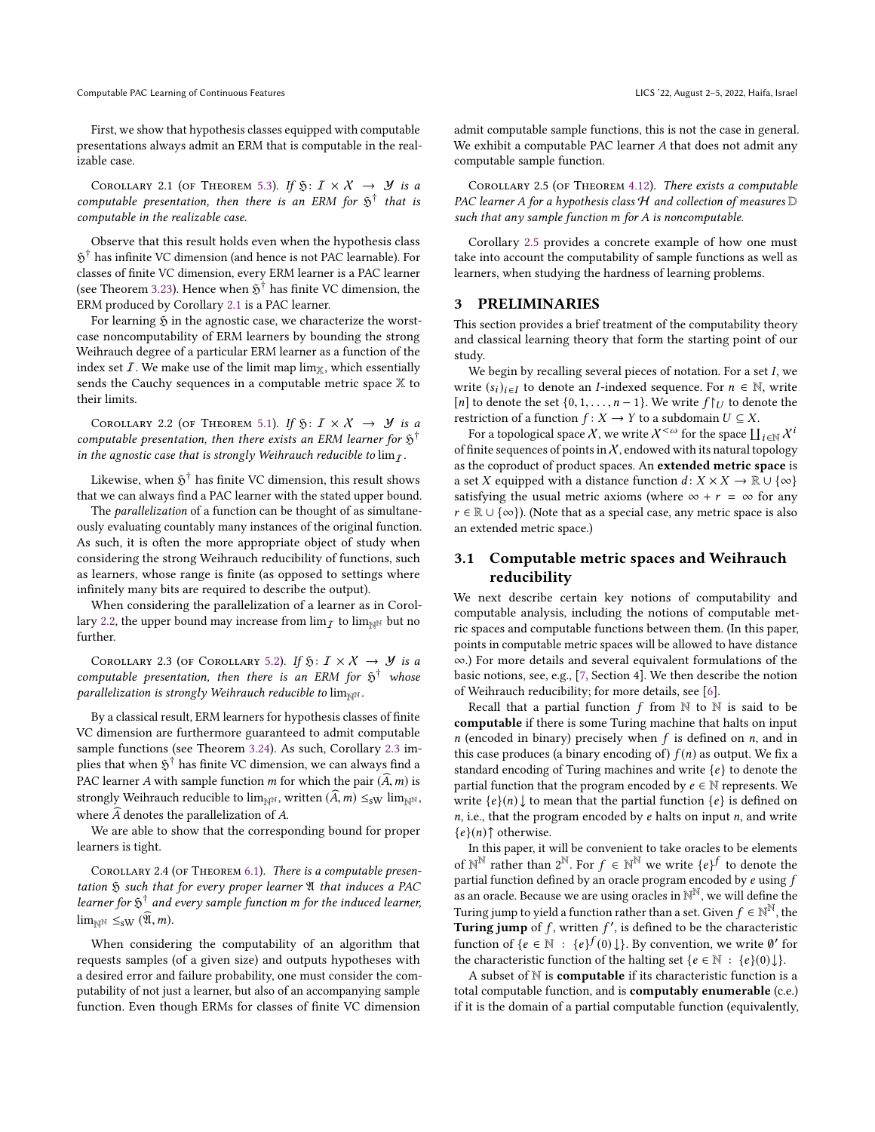Computable PAC Learning of Continuous Features Licence and the Control of Continuous Features Licence and the Continuous Features Licence and the Continuous Features Licence and the Control of Continuous Features Licence a

First, we show that hypothesis classes equipped with computable presentations always admit an ERM that is computable in the realizable case.

<span id="page-2-2"></span>COROLLARY 2.1 (OF THEOREM [5.3\)](#page-9-1). If  $\mathfrak{H}: I \times X \rightarrow \mathcal{Y}$  is a computable presentation, then there is an ERM for  $\mathfrak{H}^{\dagger}$  that is computable in the realizable case.

Observe that this result holds even when the hypothesis class  $\mathfrak H^\dagger$  has infinite VC dimension (and hence is not PAC learnable). For classes of finite VC dimension, every ERM learner is a PAC learner (see Theorem [3.23\)](#page-5-0). Hence when  $\tilde{p}^{\dagger}$  has finite VC dimension, the ERM produced by Corollary [2.1](#page-2-2) is a PAC learner.

For learning  $\mathfrak H$  in the agnostic case, we characterize the worstcase noncomputability of ERM learners by bounding the strong Weihrauch degree of a particular ERM learner as a function of the index set  $I$ . We make use of the limit map lim<sub>X</sub>, which essentially sends the Cauchy sequences in a computable metric space  $X$  to their limits.

<span id="page-2-3"></span>COROLLARY 2.2 (OF THEOREM [5.1\)](#page-8-1). If  $\mathfrak{H}: I \times X \rightarrow \mathcal{Y}$  is a computable presentation, then there exists an ERM learner for  $\mathfrak{H}^{\dagger}$ in the agnostic case that is strongly Weihrauch reducible to  $\lim_{\tau}$ .

Likewise, when  $\mathfrak H^{\dagger}$  has finite VC dimension, this result shows that we can always find a PAC learner with the stated upper bound.

The parallelization of a function can be thought of as simultaneously evaluating countably many instances of the original function. As such, it is often the more appropriate object of study when considering the strong Weihrauch reducibility of functions, such as learners, whose range is finite (as opposed to settings where infinitely many bits are required to describe the output).

When considering the parallelization of a learner as in Corol-lary [2.2,](#page-2-3) the upper bound may increase from  $\lim_{\mathcal{I}}$  to  $\lim_{\mathbb{N}^N}$  but no further.

<span id="page-2-4"></span>COROLLARY 2.3 (OF COROLLARY [5.2\)](#page-9-2). If  $\mathfrak{H}: I \times X \rightarrow Y$  is a computable presentation, then there is an ERM for  $\tilde{\mathfrak{H}}^{\dagger}$  whose parallelization is strongly Weihrauch reducible to  $\lim_{N\to\infty}$ .

By a classical result, ERM learners for hypothesis classes of finite VC dimension are furthermore guaranteed to admit computable sample functions (see Theorem [3.24\)](#page-5-1). As such, Corollary [2.3](#page-2-4) implies that when  $\mathfrak{H}^\dagger$  has finite VC dimension, we can always find a PAC learner A with sample function m for which the pair  $(A, m)$  is strongly Weihrauch reducible to  $\lim_{N\to\infty}$ , written  $(\widehat{A},m) \leq_{\text{sW}} \lim_{N\to\infty}$ , where  $\widehat{A}$  denotes the parallelization of A.

We are able to show that the corresponding bound for proper learners is tight.

COROLLARY 2.4 (OF THEOREM [6.1\)](#page-10-4). There is a computable presentation  $\mathfrak H$  such that for every proper learner  $\mathfrak A$  that induces a PAC learner for  $\mathfrak{H}^{\dagger}$  and every sample function m for the induced learner,  $\lim_{\mathbb{N}^{\mathbb{N}}}$   $\leq_{\mathrm{sW}}$   $(\widehat{\mathfrak{A}},m)$ .

When considering the computability of an algorithm that requests samples (of a given size) and outputs hypotheses with a desired error and failure probability, one must consider the computability of not just a learner, but also of an accompanying sample function. Even though ERMs for classes of finite VC dimension

admit computable sample functions, this is not the case in general. We exhibit a computable PAC learner A that does not admit any computable sample function.

<span id="page-2-5"></span>Corollary 2.5 (of Theorem [4.12\)](#page-8-2). There exists a computable PAC learner A for a hypothesis class  $H$  and collection of measures  $D$ such that any sample function m for A is noncomputable.

Corollary [2.5](#page-2-5) provides a concrete example of how one must take into account the computability of sample functions as well as learners, when studying the hardness of learning problems.

#### <span id="page-2-0"></span>3 PRELIMINARIES

This section provides a brief treatment of the computability theory and classical learning theory that form the starting point of our study.

We begin by recalling several pieces of notation. For a set I, we write  $(s_i)_{i \in I}$  to denote an *I*-indexed sequence. For  $n \in \mathbb{N}$ , write [n] to denote the set {0, 1, . . . , n – 1}. We write  $f \upharpoonright U$  to denote the restriction of a function  $f: X \to Y$  to a subdomain  $U \subseteq X$ .

For a topological space X, we write  $X^{<\omega}$  for the space  $\coprod_{i\in\mathbb{N}} X^i$ <br>finite sequences of points in X, endowed with its natural topology of finite sequences of points in  $X$ , endowed with its natural topology as the coproduct of product spaces. An extended metric space is a set X equipped with a distance function  $d: X \times X \to \mathbb{R} \cup \{\infty\}$ satisfying the usual metric axioms (where  $\infty + r = \infty$  for any  $r \in \mathbb{R} \cup \{\infty\}$ ). (Note that as a special case, any metric space is also an extended metric space.)

### <span id="page-2-1"></span>3.1 Computable metric spaces and Weihrauch reducibility

We next describe certain key notions of computability and computable analysis, including the notions of computable metric spaces and computable functions between them. (In this paper, points in computable metric spaces will be allowed to have distance ∞.) For more details and several equivalent formulations of the basic notions, see, e.g., [\[7,](#page-10-5) Section 4]. We then describe the notion of Weihrauch reducibility; for more details, see [\[6\]](#page-10-6).

Recall that a partial function  $f$  from  $\mathbb N$  to  $\mathbb N$  is said to be computable if there is some Turing machine that halts on input  $n$  (encoded in binary) precisely when  $f$  is defined on  $n$ , and in this case produces (a binary encoding of)  $f(n)$  as output. We fix a standard encoding of Turing machines and write  $\{e\}$  to denote the partial function that the program encoded by  $e \in \mathbb{N}$  represents. We write  $\{e\}(n) \downarrow$  to mean that the partial function  $\{e\}$  is defined on  $n$ , i.e., that the program encoded by  $e$  halts on input  $n$ , and write  ${e}(n)$ † otherwise.

In this paper, it will be convenient to take oracles to be elements of  $\mathbb{N}^{\mathbb{N}}$  rather than  $2^{\mathbb{N}}$ . For  $f \in \mathbb{N}^{\mathbb{N}}$  we write  $\{e\}^f$  to denote the partial function defined by an oracle program encoded by exists f partial function defined by an oracle program encoded by  $e$  using  $f$ as an oracle. Because we are using oracles in  $\mathbb{N}^{\mathbb{N}}$ , we will define the Turing jump to yield a function rather than a set. Given  $f \in \mathbb{N}^{\mathbb{N}}$ , the<br>Turing jump of f, written  $f'$  is defined to be the characteristic **Turing jump** of f, written f', is defined to be the characteristic function of  $\{a \in \mathbb{N} : f_a(f(a)) \cup Bu$  convention we write  $\theta'$  for function of  ${e \in \mathbb{N} : {e} f(0) \downarrow}$ . By convention, we write Ø' for the characteristic function of the halting set  ${e \in \mathbb{N} : f_{e}(0) \downarrow}$ . the characteristic function of the halting set  $\{e \in \mathbb{N} : \{e\}(0)\downarrow\}.$ 

A subset of  $N$  is **computable** if its characteristic function is a total computable function, and is computably enumerable (c.e.) if it is the domain of a partial computable function (equivalently,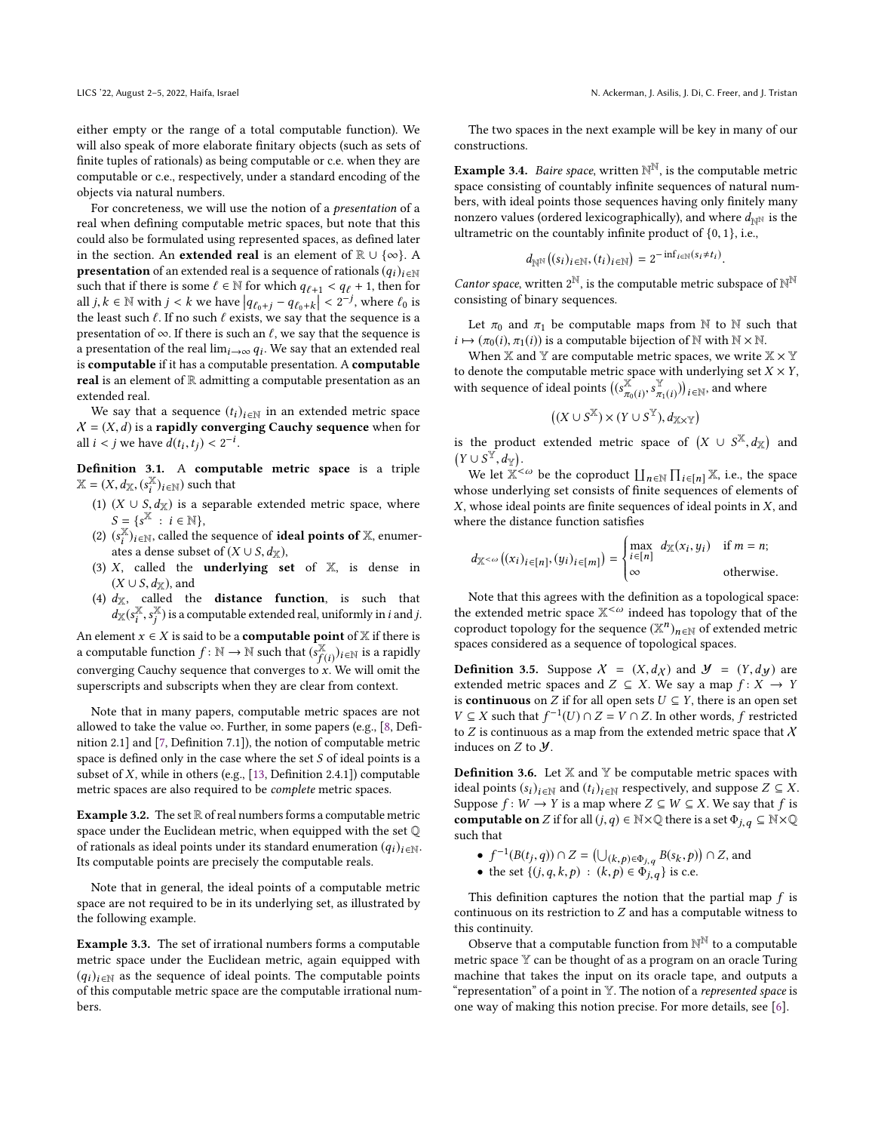either empty or the range of a total computable function). We will also speak of more elaborate finitary objects (such as sets of finite tuples of rationals) as being computable or c.e. when they are computable or c.e., respectively, under a standard encoding of the objects via natural numbers.

For concreteness, we will use the notion of a presentation of a real when defining computable metric spaces, but note that this could also be formulated using represented spaces, as defined later in the section. An **extended real** is an element of  $\mathbb{R} \cup \{\infty\}$ . A **presentation** of an extended real is a sequence of rationals  $(q_i)_{i \in \mathbb{N}}$ such that if there is some  $\ell \in \mathbb{N}$  for which  $q_{\ell+1} < q_{\ell} + 1$ , then for all  $j, k \in \mathbb{N}$  with  $j < k$  we have  $|q_{\ell_0+j} - q_{\ell_0+k}| < 2^{-j}$ , where  $\ell_0$  is the least such  $\ell$ . If no such  $\ell$  exists, we say that the sequence is a the least such  $\ell$ . If no such  $\ell$  exists, we say that the sequence is a presentation of  $\infty$ . If there is such an  $\ell$ , we say that the sequence is a presentation of the real  $\lim_{i\to\infty} q_i$ . We say that an extended real is computable if it has a computable presentation A computable is computable if it has a computable presentation. A computable real is an element of  $\mathbb R$  admitting a computable presentation as an extended real.

We say that a sequence  $(t_i)_{i \in \mathbb{N}}$  in an extended metric space  $X = (X, d)$  is a rapidly converging Cauchy sequence when for all  $i < j$  we have  $\tilde{d}(t_i, t_j) < 2^{-i}$ .

Definition 3.1. A computable metric space is a triple  $\mathbb{X} = (X, d_{\mathbb{X}}, (s_i^{\mathbb{X}})_{i \in \mathbb{N}})$  such that

- (1)  $(X \cup S, d_X)$  is a separable extended metric space, where  $S = \{c^X \ : \ i \in \mathbb{N}\}$  $S = \{s^{\overline{X}} : i \in \mathbb{N}\},$ <br> $(s^{\overline{X}})$ ,  $\geq$  called the
- (2)  $(s_i^X)_{i \in \mathbb{N}}$ , called the sequence of **ideal points of** X, enumerates a dense subset of  $(X \cup S, d_{\mathbb{X}})$ ,<br>  $X$  called the **underlying** set
- (3)  $X$ , called the **underlying set** of  $X$ , is dense in  $(X \cup S, d_{\mathbb{X}})$ , and
- (4)  $d_{\mathbb{X}}$ , called the **distance function**, is such that  $d_{\mathbb{X}}(s_i^{\mathbb{X}})$  $\cdot$ <sup>s</sup>  $\overline{\mathbb{X}}$ ) is a computable extended real, uniformly in *i* and *j*.

An element  $x \in X$  is said to be a **computable point** of X if there is<br>a computable function  $f: \mathbb{N} \to \mathbb{N}$  such that  $(e^{\chi_x})$ , wis a rapidly a computable function  $f : \mathbb{N} \to \mathbb{N}$  such that  $(s_{f(i)}^{\mathbb{X}})_{i \in \mathbb{N}}$  is a rapidly<br>convenience Combine compared to the comparison  $W$  only and the f (i)  $f(t)$  is a raphuly<br>converging Cauchy sequence that converges to x. We will omit the<br>superscripts and subscripts when they are clear from context superscripts and subscripts when they are clear from context.

Note that in many papers, computable metric spaces are not allowed to take the value  $\infty$ . Further, in some papers (e.g., [\[8,](#page-11-11) Definition 2.1] and [\[7,](#page-10-5) Definition 7.1]), the notion of computable metric space is defined only in the case where the set S of ideal points is a subset of  $X$ , while in others (e.g., [\[13,](#page-11-12) Definition 2.4.1]) computable metric spaces are also required to be complete metric spaces.

**Example 3.2.** The set  $\mathbb R$  of real numbers forms a computable metric space under the Euclidean metric, when equipped with the set Q of rationals as ideal points under its standard enumeration  $(q_i)_{i \in \mathbb{N}}$ . Its computable points are precisely the computable reals.

Note that in general, the ideal points of a computable metric space are not required to be in its underlying set, as illustrated by the following example.

Example 3.3. The set of irrational numbers forms a computable metric space under the Euclidean metric, again equipped with  $(q_i)_{i \in \mathbb{N}}$  as the sequence of ideal points. The computable points of this computable metric space are the computable irrational numbers.

The two spaces in the next example will be key in many of our constructions.

**Example 3.4.** *Baire space*, written  $\mathbb{N}^{\mathbb{N}}$ , is the computable metric space consisting of countably infinite sequences of natural numbers, with ideal points those sequences having only finitely many nonzero values (ordered lexicographically), and where  $d_{\mathbb{N}^{\mathbb{N}}}$  is the ultrametric on the countably infinite product of {0, <sup>1</sup>}, i.e.,

$$
d_{\mathbb{N}^{\mathbb{N}}}\big((s_i)_{i\in\mathbb{N}},(t_i)_{i\in\mathbb{N}}\big)=2^{-\inf_{i\in\mathbb{N}}(s_i\neq t_i)}
$$

*Cantor space*, written  $2^{\mathbb{N}}$ , is the computable metric subspace of  $\mathbb{N}^{\mathbb{N}}$ consisting of binary sequences.

Let  $\pi_0$  and  $\pi_1$  be computable maps from N to N such that  $i \mapsto (\pi_0(i), \pi_1(i))$  is a computable bijection of N with N × N.

When  $X$  and  $Y$  are computable metric spaces, we write  $X \times Y$ to denote the computable metric space with underlying set  $X\times Y,$ with sequence of ideal points  $((s_{\pi}^{\mathbb{X}}))$  $\pi_0(i)$ <sup>3</sup> Y  $(\mathbf{x}_{\pi_1(i)})_{i \in \mathbb{N}}$ , and where

$$
((X \cup S^{\mathbb{X}}) \times (Y \cup S^{\mathbb{Y}}), d_{\mathbb{X} \times \mathbb{Y}})
$$

is the product extended metric space of  $(X \cup S^{\mathbb{X}}, d_{\mathbb{X}})$  and  $(Y \cup S^{\mathbb{X}}, d)$  $(Y \cup S^{\mathbb{Y}}, d_{\mathbb{Y}}).$ <br>We let  $\mathbb{Y}^{\leq}$ 

We let  $\mathbb{X}^{\leq \omega}$  be the coproduct  $\prod_{n \in \mathbb{N}} \prod_{i \in [n]} \mathbb{X}$ , i.e., the space<br>lose underlying set consists of finite sequences of elements of whose underlying set consists of finite sequences of elements of X, whose ideal points are finite sequences of ideal points in X, and where the distance function satisfies

$$
d_{\mathbb{X}^{<\omega}}((x_i)_{i\in[n]},(y_i)_{i\in[m]})=\begin{cases} \max_{i\in[n]} d_{\mathbb{X}}(x_i,y_i) & \text{if } m=n; \\ \infty & \text{otherwise.} \end{cases}
$$

 Note that this agrees with the definition as a topological space: the extended metric space  $\mathbb{X}^{\leq \omega}$  indeed has topology that of the coproduct topology for the sequence  $(\mathbb{X}^n)_{n \in \mathbb{N}}$  of extended metric<br>spaces considered as a sequence of topological spaces spaces considered as a sequence of topological spaces.

**Definition 3.5.** Suppose  $X = (X, d_X)$  and  $Y = (Y, dy)$  are extended metric spaces and  $Z \subseteq X$ . We say a map  $f: X \to Y$ is **continuous** on *Z* if for all open sets  $U \subseteq Y$ , there is an open set  $V \subseteq X$  such that  $f^{-1}(U) \cap Z = V \cap Z$ . In other words, f restricted to Z is continuous as a map from the extended metric space that X to  $Z$  is continuous as a map from the extended metric space that  $X$ induces on  $Z$  to  $Y$ .

**Definition 3.6.** Let  $X$  and  $Y$  be computable metric spaces with ideal points  $(s_i)_{i \in \mathbb{N}}$  and  $(t_i)_{i \in \mathbb{N}}$  respectively, and suppose  $Z \subseteq X$ . Suppose  $f: W \to Y$  is a map where  $Z \subseteq W \subseteq X$ . We say that f is **computable on** Z if for all  $(j, q) \in \mathbb{N} \times \mathbb{Q}$  there is a set  $\Phi_{j,q} \subseteq \mathbb{N} \times \mathbb{Q}$ such that

- $f^{-1}(B(t_j, q)) \cap Z = (\bigcup_{(k, p) \in \Phi_{j,q}} B(s_k, p)) \cap Z$ , and
- the set  $\{(j, q, k, p) : (k, p) \in \Phi_{j, q}\}$  is c.e.

This definition captures the notion that the partial map  $f$  is continuous on its restriction to  $Z$  and has a computable witness to this continuity.

Observe that a computable function from  $\mathbb{N}^{\mathbb{N}}$  to a computable metric space Y can be thought of as a program on an oracle Turing machine that takes the input on its oracle tape, and outputs a "representation" of a point in Y. The notion of a *represented space* is one way of making this notion precise. For more details, see [\[6\]](#page-10-6).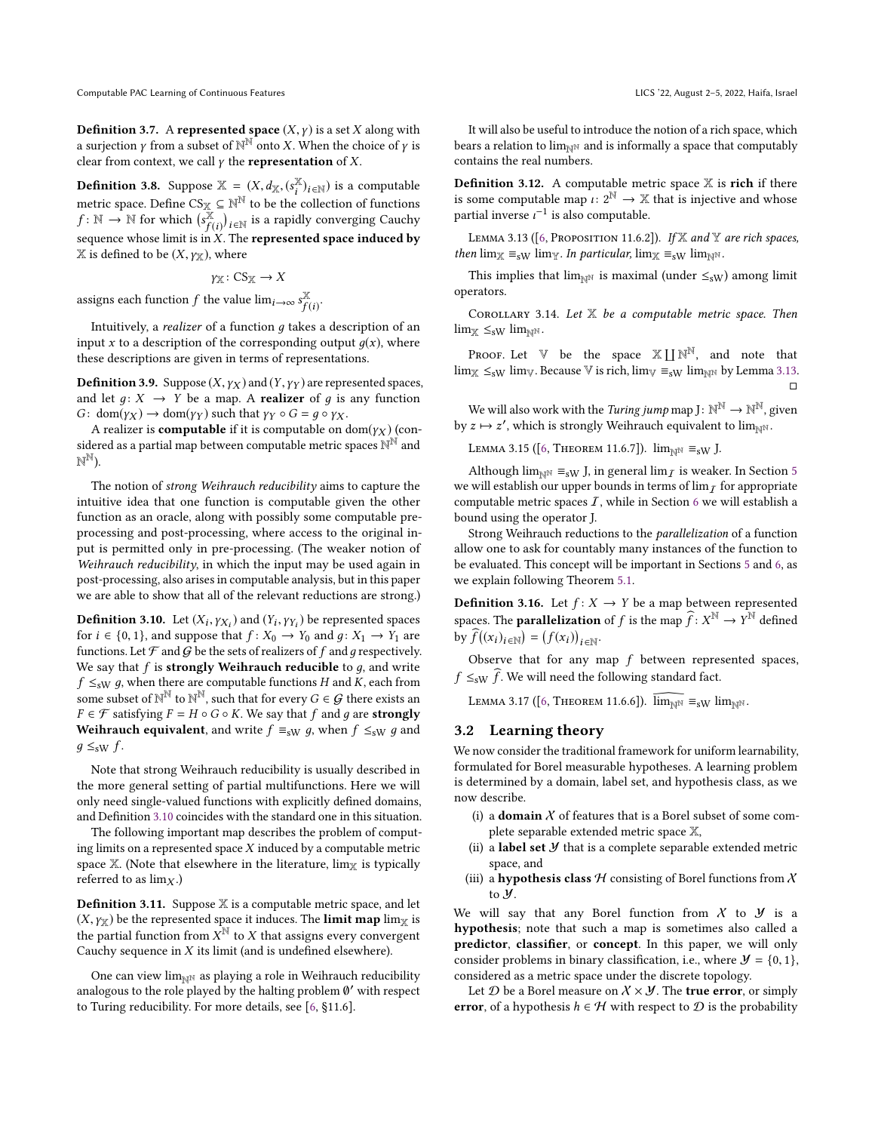**Definition 3.7.** A represented space  $(X, \gamma)$  is a set X along with a surjection  $\gamma$  from a subset of  $\mathbb{N}^{\mathbb{N}}$  onto X. When the choice of  $\gamma$  is clear from context, we call  $\gamma$  the **representation** of X. clear from context, we call  $\gamma$  the **representation** of X.

**Definition 3.8.** Suppose  $\mathbb{X} = (X, d_{\mathbb{X}}, (s_{\mathbb{X}}^{\mathbb{X}})_{i \in \mathbb{N}})$  is a computable metric space. Define  $CS_{\mathbb{X}} \subseteq \mathbb{N}^{\mathbb{N}}$  to be the collection of functions  $f: \mathbb{N} \to \mathbb{N}$  for which  $(s)$  $\ddot{\mathbb{X}}$  $(f(i))_{i \in \mathbb{N}}$  is a rapidly converging Cauchy<br>n Y. The represented space induced by sequence whose limit is in  $X$ . The represented space induced by  $X$  is defined to be  $(X, \gamma_X)$ , where

 $\gamma_X\colon \mathrm{CS}_\mathbb{X}\to X$ 

assigns each function  $f$  the value  $\lim_{i\to\infty} s_{f(i)}^{\mathbb{X}}$  $_{f(i)}^{\mathbb{X}}$ 

Intuitively, a *realizer* of a function  $q$  takes a description of an input x to a description of the corresponding output  $q(x)$ , where these descriptions are given in terms of representations.

**Definition 3.9.** Suppose  $(X, \gamma_X)$  and  $(Y, \gamma_Y)$  are represented spaces, and let  $q: X \rightarrow Y$  be a map. A **realizer** of q is any function  $G: dom(\gamma_X) \to dom(\gamma_Y)$  such that  $\gamma_Y \circ G = g \circ \gamma_X$ .

A realizer is **computable** if it is computable on dom( $\gamma$ x) (considered as a partial map between computable metric spaces  $\mathbb{N}^{\mathbb{N}}$  and  $\mathbb{N}^{\mathbb{N}}$ ).

The notion of strong Weihrauch reducibility aims to capture the intuitive idea that one function is computable given the other function as an oracle, along with possibly some computable preprocessing and post-processing, where access to the original input is permitted only in pre-processing. (The weaker notion of Weihrauch reducibility, in which the input may be used again in post-processing, also arises in computable analysis, but in this paper we are able to show that all of the relevant reductions are strong.)

<span id="page-4-0"></span>**Definition 3.10.** Let  $(X_i, \gamma_{X_i})$  and  $(Y_i, \gamma_{Y_i})$  be represented spaces for  $i \in \{0, 1\}$  and suppose that  $f: X_0 \to Y_0$  and  $g: X_1 \to Y_0$  are for  $i \in \{0, 1\}$ , and suppose that  $f: X_0 \to Y_0$  and  $g: X_1 \to Y_1$  are<br>functions. Let  $\mathcal{F}$  and  $G$  be the sets of realizers of f and a respectively functions. Let  $\mathcal F$  and  $\mathcal G$  be the sets of realizers of f and q respectively. We say that  $f$  is strongly Weihrauch reducible to  $g$ , and write  $f \leq_{\text{SW}} q$ , when there are computable functions H and K, each from some subset of  $\mathbb{N}^{\mathbb{N}}$  to  $\mathbb{N}^{\mathbb{N}}$ , such that for every  $G \in \mathcal{G}$  there exists an  $E \in \mathcal{F}$  satisfying  $E = H \circ G \circ K$ . We say that f and g are **strongly**  $F \in \mathcal{F}$  satisfying  $F = H \circ G \circ K$ . We say that f and g are **strongly Weihrauch equivalent**, and write  $f \equiv_{\text{sW}} g$ , when  $f \leq_{\text{sW}} g$  and  $q \leq_{\text{sw}} f$ .

Note that strong Weihrauch reducibility is usually described in the more general setting of partial multifunctions. Here we will only need single-valued functions with explicitly defined domains, and Definition [3.10](#page-4-0) coincides with the standard one in this situation.

The following important map describes the problem of computing limits on a represented space X induced by a computable metric space  $X$ . (Note that elsewhere in the literature,  $\lim_{X \to \infty}$  is typically referred to as  $\lim_{X}$ .)

**Definition 3.11.** Suppose  $X$  is a computable metric space, and let  $(X, \gamma_X)$  be the represented space it induces. The **limit map** lim<sub>X</sub> is the partial function from  $\hat{X}^{\mathbb{N}}$  to X that assigns every convergent Cauchy sequence in X its limit (and is undefined elsewhere) Cauchy sequence in X its limit (and is undefined elsewhere).

One can view lim $_{\mathbb{N}^{\mathbb{N}}}$  as playing a role in Weihrauch reducibility analogous to the role played by the halting problem  $\emptyset'$  with respect to Turing reducibility. For more details, see [\[6,](#page-10-6) §11.6].

It will also be useful to introduce the notion of a rich space, which bears a relation to  $\lim_{N\to\infty}$  and is informally a space that computably contains the real numbers.

**Definition 3.12.** A computable metric space  $X$  is rich if there is some computable map  $\iota: 2^{\mathbb{N}} \to \mathbb{X}$  that is injective and whose<br>partial inverse  $i^{-1}$  is also computable partial inverse  $\iota^{-1}$  is also computable.

<span id="page-4-1"></span>LEMMA 3.13 ( $[6,$  Proposition 11.6.2]). If X and Y are rich spaces, then  $\lim_{\mathbb{X}} \equiv_{\text{SW}} \lim_{\mathbb{Y}}$ . In particular,  $\lim_{\mathbb{X}} \equiv_{\text{SW}} \lim_{\mathbb{N}} \lim_{\mathbb{X}}$ .

This implies that lim<sub>NN</sub> is maximal (under  $\leq_{\text{SW}}$ ) among limit operators.

<span id="page-4-3"></span>COROLLARY 3.14. Let  $X$  be a computable metric space. Then  $\lim_{\mathbb{X}} \leq_{\mathrm{sW}} \lim_{\mathbb{N}^{\mathbb{N}}}$ .

PROOF. Let  $V$  be the space  $\mathbb{X} \coprod \mathbb{N}^{\mathbb{N}}$ , and note that  $\lim_{x \to s_W} \lim_{y \to s_W}$ . Because V is rich,  $\lim_{y \to s_W} \lim_{y \to s_W}$  by Lemma [3.13.](#page-4-1) □

We will also work with the *Turing jump* map  $J \colon \mathbb{N}^\mathbb{N} \to \mathbb{N}^\mathbb{N}$ , given by  $z \mapsto z'$ , which is strongly Weihrauch equivalent to  $\lim_{\mathbb{N}^N}$ .

<span id="page-4-5"></span>LEMMA 3.15 ([\[6,](#page-10-6) THEOREM 11.6.7]).  $\lim_{N \to \infty}$   $\equiv_{\text{SW}}$  J.

Although lim<sub>NN</sub>  $\equiv_{\text{SW}}$  J, in general lim<sub>*I*</sub> is weaker. In Section [5](#page-8-0) we will establish our upper bounds in terms of  $\lim_{\tau}$  for appropriate computable metric spaces  $I$ , while in Section [6](#page-9-0) we will establish a bound using the operator J.

Strong Weihrauch reductions to the parallelization of a function allow one to ask for countably many instances of the function to be evaluated. This concept will be important in Sections [5](#page-8-0) and [6,](#page-9-0) as we explain following Theorem [5.1.](#page-8-1)

<span id="page-4-2"></span>**Definition 3.16.** Let  $f: X \rightarrow Y$  be a map between represented spaces. The **parallelization** of f is the map  $\widehat{f}: X^{\mathbb{N}} \to Y^{\mathbb{N}}$  defined by  $\widehat{f}((x_i)_{i\in\mathbb{N}}) = (f(x_i))_{i\in\mathbb{N}}$ .

Observe that for any map  $f$  between represented spaces,  $f \leq_{\text{SW}} \hat{f}$ . We will need the following standard fact.

<span id="page-4-4"></span>LEMMA 3.17 ([\[6,](#page-10-6) THEOREM 11.6.6]).  $\widehat{\lim_{N^N}} \equiv_{sW} \lim_{N^N}$ .

#### 3.2 Learning theory

We now consider the traditional framework for uniform learnability, formulated for Borel measurable hypotheses. A learning problem is determined by a domain, label set, and hypothesis class, as we now describe.

- (i) a **domain**  $X$  of features that is a Borel subset of some complete separable extended metric space X,
- (ii) a label set  $Y$  that is a complete separable extended metric space, and
- (iii) a hypothesis class  $H$  consisting of Borel functions from  $X$ to Y.

We will say that any Borel function from  $X$  to  $Y$  is a hypothesis; note that such a map is sometimes also called a predictor, classifier, or concept. In this paper, we will only consider problems in binary classification, i.e., where  $\mathcal{Y} = \{0, 1\}$ , considered as a metric space under the discrete topology.

Let  $D$  be a Borel measure on  $X \times Y$ . The **true error**, or simply error, of a hypothesis  $h \in \mathcal{H}$  with respect to  $\mathcal D$  is the probability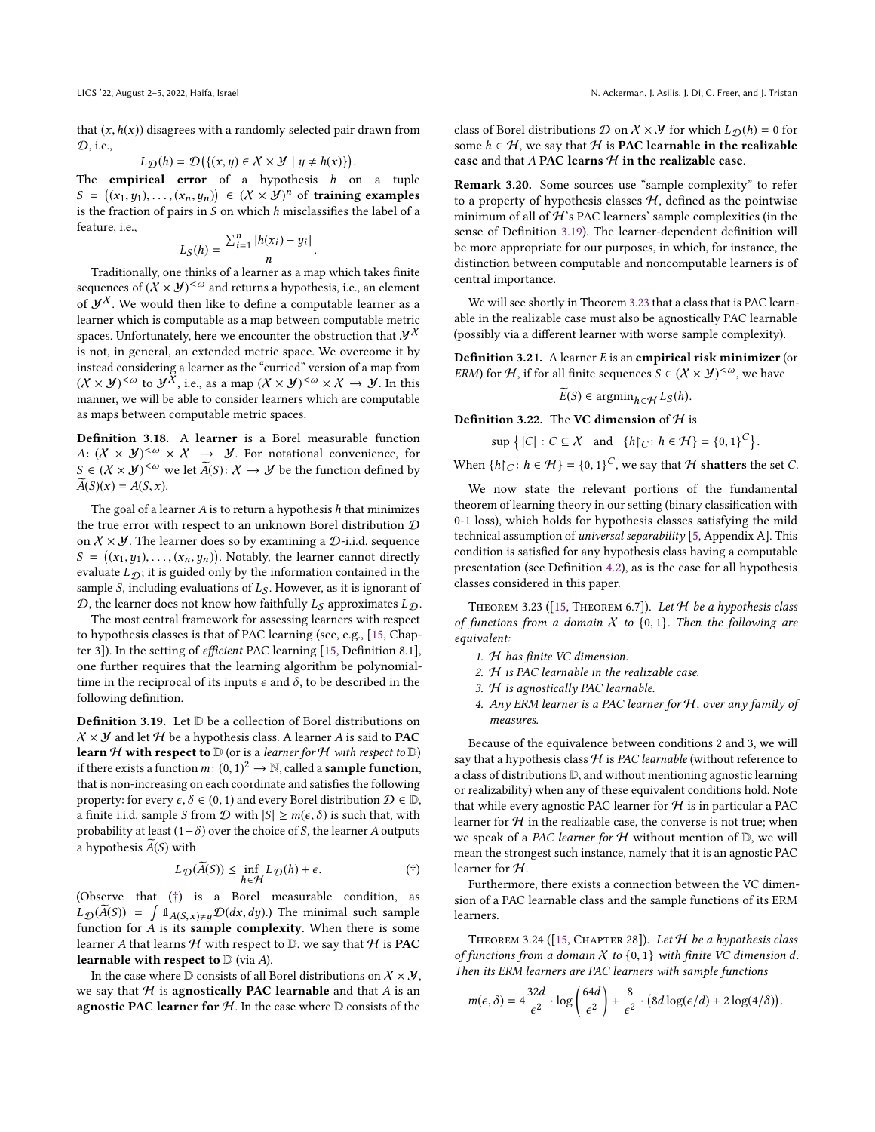that  $(x, h(x))$  disagrees with a randomly selected pair drawn from  $\mathcal{D}$ , i.e.,

$$
L_{\mathcal{D}}(h) = \mathcal{D}(\{(x, y) \in \mathcal{X} \times \mathcal{Y} \mid y \neq h(x)\})
$$

 $L_{\mathcal{D}}(h) = \mathcal{D}(\{(x, y) \in X \times Y \mid y \neq h(x)\})$ .<br>The **empirical error** of a hypothesis h on a tuple<br> $S = ((x, y) \cup (x, y)) \in (X \times W)^n$  of training examples  $S = ((x_1, y_1), \dots, (x_n, y_n)) \in (X \times Y)^n$  of training examples<br>is the fraction of pairs in S on which h misclassifies the label of a is the fraction of pairs in  $S$  on which  $h$  misclassifies the label of a feature, i.e.,

$$
L_S(h) = \frac{\sum_{i=1}^n |h(x_i) - y_i|}{n}
$$

 $\frac{b}{n}$ <br>Traditionally, one thinks of a learner as a map which takes finite sequences of  $(X \times Y)^{<\omega}$  and returns a hypothesis, i.e., an element of  $\mathcal{Y}^{\chi}$ . We would then like to define a computable learner as a learner which is computable as a map between computable metric spaces. Unfortunately, here we encounter the obstruction that  $\mathcal{Y}^{\chi}$ is not, in general, an extended metric space. We overcome it by instead considering a learner as the "curried" version of a map from  $(X \times Y)^{<\omega}$  to  $Y^{\overline{X}}$ , i.e., as a map  $(X \times Y)^{<\omega} \times X \to Y$ . In this manner, we will be able to consider learners which are computable as maps between computable metric spaces.

<span id="page-5-4"></span>Definition 3.18. A learner is a Borel measurable function A:  $(X \times Y)^{<\omega} \times X \rightarrow Y$ . For notational convenience, for  $S \in (\mathcal{X} \times \mathcal{Y})^{{<}\omega}$  we let  $\widetilde{A}(S): \mathcal{X} \to \mathcal{Y}$  be the function defined by  $\widetilde{A}(S)(x) = A(S, x).$ 

The goal of a learner  $A$  is to return a hypothesis  $h$  that minimizes the true error with respect to an unknown Borel distribution  $D$ on  $X \times Y$ . The learner does so by examining a  $D$ -i.i.d. sequence  $S = ((x_1, y_1), \ldots, (x_n, y_n))$ . Notably, the learner cannot directly evaluate  $I_{\infty}$ ; it is midded only by the information contained in the evaluate  $L_{\mathcal{D}}$ ; it is guided only by the information contained in the sample S, including evaluations of  $L<sub>S</sub>$ . However, as it is ignorant of  $\mathcal{D}$ , the learner does not know how faithfully  $L_S$  approximates  $L_D$ .

The most central framework for assessing learners with respect to hypothesis classes is that of PAC learning (see, e.g., [\[15,](#page-11-13) Chapter 3]). In the setting of efficient PAC learning [\[15,](#page-11-13) Definition 8.1], one further requires that the learning algorithm be polynomialtime in the reciprocal of its inputs  $\epsilon$  and  $\delta$ , to be described in the following definition.

<span id="page-5-3"></span>Definition 3.19. Let D be a collection of Borel distributions on  $X \times Y$  and let H be a hypothesis class. A learner A is said to **PAC learn**  $H$  with respect to  $D$  (or is a learner for  $H$  with respect to  $D$ ) if there exists a function  $m: (0, 1)^2 \rightarrow \mathbb{N}$ , called a **sample function**,<br>that is non-increasing on each coordinate and satisfies the following that is non-increasing on each coordinate and satisfies the following property: for every  $\epsilon, \delta \in (0, 1)$  and every Borel distribution  $\mathcal{D} \in \mathbb{D}$ , a finite i.i.d. sample S from  $D$  with  $|S| \ge m(\epsilon, \delta)$  is such that, with probability at least  $(1-\delta)$  over the choice of S, the learner A outputs a hypothesis  $A(S)$  with

$$
L_{\mathcal{D}}(\widetilde{A}(S)) \le \inf_{h \in \mathcal{H}} L_{\mathcal{D}}(h) + \epsilon.
$$
 (†)

 $\mathcal{L}(\mathcal{L}) = h \in \mathcal{H}(\mathcal{L}(\mathcal{L}))$ <br>(Observe that ([†](#page-5-2)) is a Borel measurable condition, as  $L_{\mathcal{D}}(\widetilde{A}(S)) = \int \mathbb{1}_{A(S,x)\neq y}\mathcal{D}(dx,dy)$ .) The minimal such sample<br>function for A is its sample complexity. When there is some function for  $A$  is its sample complexity. When there is some learner A that learns  $H$  with respect to  $D$ , we say that  $H$  is PAC learnable with respect to  $D$  (via A).

In the case where  $\mathbb D$  consists of all Borel distributions on  $\mathcal X\times \mathcal Y,$ we say that  $H$  is agnostically PAC learnable and that  $A$  is an agnostic PAC learner for  $H$ . In the case where  $D$  consists of the

class of Borel distributions  $\mathcal D$  on  $\mathcal X \times \mathcal Y$  for which  $L_{\mathcal D}(h) = 0$  for some  $h \in \mathcal{H}$ , we say that  $\mathcal H$  is **PAC learnable in the realizable** case and that  $A$  PAC learns  $H$  in the realizable case.

Remark 3.20. Some sources use "sample complexity" to refer to a property of hypothesis classes  $H$ , defined as the pointwise minimum of all of  $H$ 's PAC learners' sample complexities (in the sense of Definition [3.19\)](#page-5-3). The learner-dependent definition will be more appropriate for our purposes, in which, for instance, the distinction between computable and noncomputable learners is of central importance.

We will see shortly in Theorem [3.23](#page-5-0) that a class that is PAC learnable in the realizable case must also be agnostically PAC learnable (possibly via a different learner with worse sample complexity).

Definition 3.21. A learner E is an empirical risk minimizer (or ERM) for H, if for all finite sequences  $S \in (\mathcal{X} \times \mathcal{Y})^{\leq \omega}$ , we have

$$
\widetilde{E}(S) \in \operatorname{argmin}_{h \in \mathcal{H}} L_S(h).
$$

**Definition 3.22.** The VC dimension of  $H$  is

 $\sup \left\{ |C| : C \subseteq \mathcal{X} \text{ and } \{h\}_{C} : h \in \mathcal{H} \right\} = \{0, 1\}^{C} \right\}$ 

When  $\{h\}_C: h \in \mathcal{H}\} = \{0, 1\}^C$ , we say that  $\mathcal H$  shatters the set C.

We now state the relevant portions of the fundamental theorem of learning theory in our setting (binary classification with 0-1 loss), which holds for hypothesis classes satisfying the mild technical assumption of universal separability [\[5,](#page-10-0) Appendix A]. This condition is satisfied for any hypothesis class having a computable presentation (see Definition [4.2\)](#page-6-1), as is the case for all hypothesis classes considered in this paper.

<span id="page-5-0"></span>THEOREM 3.23 ([\[15,](#page-11-13) THEOREM 6.7]). Let  $H$  be a hypothesis class of functions from a domain  $X$  to  $\{0, 1\}$ . Then the following are equivalent:

- 1. H has finite VC dimension.
- 2. H is PAC learnable in the realizable case.
- 3. H is agnostically PAC learnable.
- 4. Any ERM learner is a PAC learner for H, over any family of measures.

Because of the equivalence between conditions 2 and 3, we will say that a hypothesis class  $H$  is PAC learnable (without reference to a class of distributions D, and without mentioning agnostic learning or realizability) when any of these equivalent conditions hold. Note that while every agnostic PAC learner for  $H$  is in particular a PAC learner for  $H$  in the realizable case, the converse is not true; when we speak of a PAC learner for  $H$  without mention of  $D$ , we will mean the strongest such instance, namely that it is an agnostic PAC learner for H.

<span id="page-5-2"></span>Furthermore, there exists a connection between the VC dimension of a PAC learnable class and the sample functions of its ERM learners.

<span id="page-5-1"></span>THEOREM 3.24 ([\[15,](#page-11-13) CHAPTER 28]). Let  $H$  be a hypothesis class of functions from a domain  $X$  to  $\{0,1\}$  with finite VC dimension d. Then its ERM learners are PAC learners with sample functions

$$
m(\epsilon,\delta) = 4\frac{32d}{\epsilon^2} \cdot \log\left(\frac{64d}{\epsilon^2}\right) + \frac{8}{\epsilon^2} \cdot \left(8d\log(\epsilon/d) + 2\log(4/\delta)\right).
$$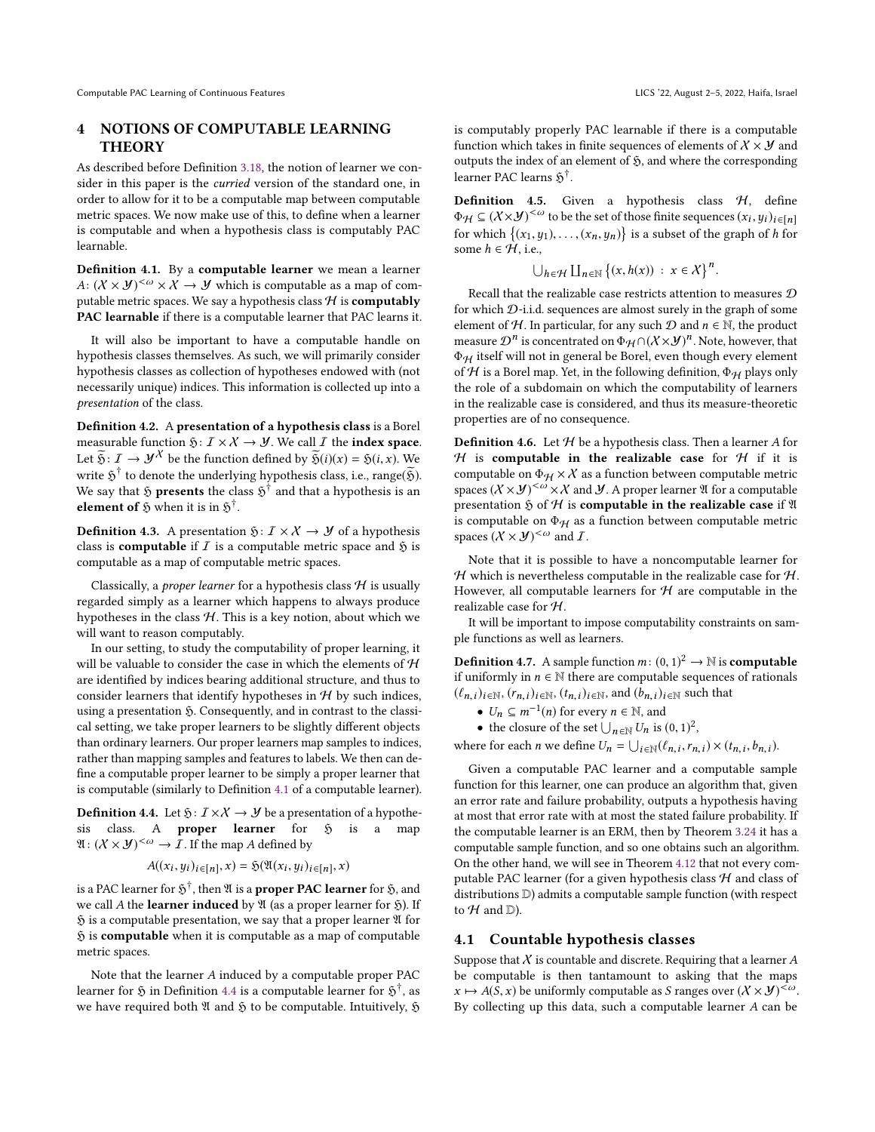## <span id="page-6-0"></span>4 NOTIONS OF COMPUTABLE LEARNING **THEORY**

As described before Definition [3.18,](#page-5-4) the notion of learner we consider in this paper is the curried version of the standard one, in order to allow for it to be a computable map between computable metric spaces. We now make use of this, to define when a learner is computable and when a hypothesis class is computably PAC learnable.

<span id="page-6-2"></span>Definition 4.1. By a computable learner we mean a learner A:  $(X \times Y)^{<\omega} \times X \to Y$  which is computable as a map of computable metric spaces. We say a hypothesis class  $H$  is **computably** PAC learnable if there is a computable learner that PAC learns it.

It will also be important to have a computable handle on hypothesis classes themselves. As such, we will primarily consider hypothesis classes as collection of hypotheses endowed with (not necessarily unique) indices. This information is collected up into a presentation of the class.

<span id="page-6-1"></span>Definition 4.2. A presentation of a hypothesis class is a Borel measurable function  $\mathfrak{H}: I \times X \to Y$ . We call *I* the **index space**. Let  $\widetilde{\mathfrak{H}}: I \to \mathcal{Y}^{\chi}$  be the function defined by  $\widetilde{\mathfrak{H}}(i)(x) = \mathfrak{H}(i, x)$ . We write  $\tilde{S}^{\dagger}$  to denote the underlying hypothesis class, i.e., range( $\tilde{\mathfrak{H}}$ ). We say that  $\mathfrak H$  presents the class  $\mathfrak H^\dagger$  and that a hypothesis is an element of  $\tilde{y}$  when it is in  $\tilde{y}^{\dagger}$ .

**Definition 4.3.** A presentation  $\mathfrak{H}: I \times X \rightarrow Y$  of a hypothesis class is **computable** if  $I$  is a computable metric space and  $\mathfrak{H}$  is computable as a map of computable metric spaces.

Classically, a *proper learner* for a hypothesis class  $H$  is usually regarded simply as a learner which happens to always produce hypotheses in the class  $H$ . This is a key notion, about which we will want to reason computably.

In our setting, to study the computability of proper learning, it will be valuable to consider the case in which the elements of  $H$ are identified by indices bearing additional structure, and thus to consider learners that identify hypotheses in  $H$  by such indices, using a presentation  $\mathfrak{H}$ . Consequently, and in contrast to the classical setting, we take proper learners to be slightly different objects than ordinary learners. Our proper learners map samples to indices, rather than mapping samples and features to labels. We then can define a computable proper learner to be simply a proper learner that is computable (similarly to Definition [4.1](#page-6-2) of a computable learner).

<span id="page-6-3"></span>**Definition 4.4.** Let  $\mathfrak{H}: I \times X \rightarrow \mathcal{Y}$  be a presentation of a hypothesis class. A **proper learner** for  $\tilde{y}$  is a map  $\mathfrak{A}: (\mathcal{X} \times \mathcal{Y})^{\leq \omega} \to \mathcal{I}$ . If the map A defined by

$$
A((x_i, y_i)_{i \in [n]}, x) = \mathfrak{H}(\mathfrak{A}(x_i, y_i)_{i \in [n]}, x)
$$

is a PAC learner for  $\mathfrak H^{\dagger}$ , then  $\mathfrak A$  is a **proper PAC learner** for  $\mathfrak H,$  and we call A the learner induced by  $\mathfrak A$  (as a proper learner for  $\mathfrak H$ ). If  $\mathfrak H$  is a computable presentation, we say that a proper learner  $\mathfrak A$  for  $$$  is computable when it is computable as a map of computable metric spaces.

Note that the learner A induced by a computable proper PAC learner for  $\mathfrak H$  in Definition [4.4](#page-6-3) is a computable learner for  $\mathfrak H^{\dagger}$ , as we have required both  $\mathfrak A$  and  $\mathfrak H$  to be computable. Intuitively,  $\mathfrak H$  is computably properly PAC learnable if there is a computable function which takes in finite sequences of elements of  $X \times Y$  and outputs the index of an element of  $\mathfrak{H}$ , and where the corresponding learner PAC learns  $\mathfrak{H}^\dagger$ .

**Definition 4.5.** Given a hypothesis class  $H$ , define  $\Phi_H \subseteq (X \times Y)^{<\omega}$  to be the set of those finite sequences  $(x_i, y_i)_{i \in [n]}$ <br>for which  $[(x, y), (y, y)]$  is a subset of the graph of h for for which  $\{(x_1, y_1), \ldots, (x_n, y_n)\}$  is a subset of the graph of h for some  $h \in \mathcal{H}$ , i.e.,

$$
\bigcup_{h \in \mathcal{H}} \coprod_{n \in \mathbb{N}} \left\{ (x, h(x)) \; : \; x \in \mathcal{X} \right\}^n
$$

Recall that the realizable case restricts attention to measures  $D$ for which D-i.i.d. sequences are almost surely in the graph of some element of H. In particular, for any such  $D$  and  $n \in \mathbb{N}$ , the product measure  $\mathcal{D}^n$  is concentrated on  $\Phi_H \cap (X \times \mathcal{Y})^n$ . Note, however, that  $\Phi_H$  is concentrated by Borel, even though every element  $\Phi_H$  itself will not in general be Borel, even though every element of  $H$  is a Borel map. Yet, in the following definition,  $\Phi_H$  plays only the role of a subdomain on which the computability of learners in the realizable case is considered, and thus its measure-theoretic properties are of no consequence.

**Definition 4.6.** Let  $H$  be a hypothesis class. Then a learner A for  $H$  is computable in the realizable case for  $H$  if it is computable on  $\Phi_H \times X$  as a function between computable metric spaces  $(X \times Y)^{<\omega} \times X$  and *Y*. A proper learner *II* for a computable presentation  $\mathfrak H$  of  $\mathcal H$  is **computable in the realizable case** if  $\mathfrak A$ is computable on  $\Phi_H$  as a function between computable metric spaces  $(X \times Y)^{<\omega}$  and *I*.

Note that it is possible to have a noncomputable learner for  $H$  which is nevertheless computable in the realizable case for  $H$ . However, all computable learners for  $H$  are computable in the realizable case for H.

It will be important to impose computability constraints on sample functions as well as learners.

**Definition 4.7.** A sample function  $m: (0, 1)^2 \rightarrow \mathbb{N}$  is **computable** if uniformly in  $n \in \mathbb{N}$  there are computable sequences of rationals if uniformly in  $n \in \mathbb{N}$  there are computable sequences of rationals  $(\ell_{n,i})_{i \in \mathbb{N}}, (r_{n,i})_{i \in \mathbb{N}}, (t_{n,i})_{i \in \mathbb{N}},$  and  $(b_{n,i})_{i \in \mathbb{N}}$  such that

•  $U_n \subseteq m^{-1}(n)$  for every  $n \in \mathbb{N}$ , and<br>
• the closure of the set  $\Box_{n \in \mathbb{N}}$  is is

• the closure of the set  $\bigcup_{n \in \mathbb{N}} U_n$  is  $(0, 1)^2$ ,

where for each *n* we define  $U_n = \bigcup_{i \in \mathbb{N}} (\ell_{n,i}, r_{n,i}) \times (t_{n,i}, b_{n,i}).$ 

Given a computable PAC learner and a computable sample function for this learner, one can produce an algorithm that, given an error rate and failure probability, outputs a hypothesis having at most that error rate with at most the stated failure probability. If the computable learner is an ERM, then by Theorem [3.24](#page-5-1) it has a computable sample function, and so one obtains such an algorithm. On the other hand, we will see in Theorem [4.12](#page-8-2) that not every computable PAC learner (for a given hypothesis class  $H$  and class of distributions D) admits a computable sample function (with respect to  $H$  and  $D$ ).

#### 4.1 Countable hypothesis classes

Suppose that  $X$  is countable and discrete. Requiring that a learner  $A$ be computable is then tantamount to asking that the maps  $x \mapsto A(S, x)$  be uniformly computable as S ranges over  $(X \times Y)^{<\omega}$ . By collecting up this data, such a computable learner A can be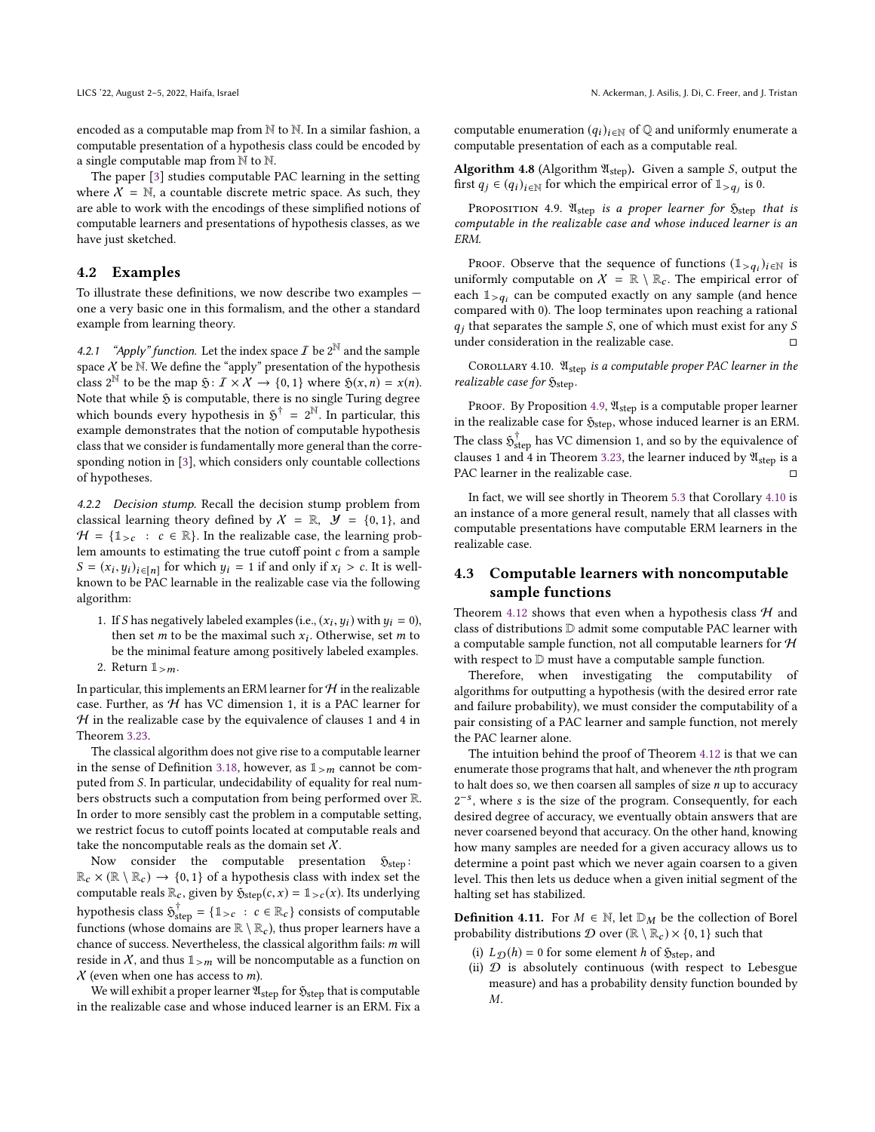encoded as a computable map from N to N. In a similar fashion, a computable presentation of a hypothesis class could be encoded by a single computable map from  $\mathbb N$  to  $\mathbb N$ .

The paper [\[3\]](#page-10-1) studies computable PAC learning in the setting where  $X = N$ , a countable discrete metric space. As such, they are able to work with the encodings of these simplified notions of computable learners and presentations of hypothesis classes, as we have just sketched.

#### 4.2 Examples

To illustrate these definitions, we now describe two examples one a very basic one in this formalism, and the other a standard example from learning theory.

4.2.1 "Apply" function. Let the index space  $\mathcal{I}$  be  $2^{\mathbb{N}}$  and the sample space  $X$  be  $\mathbb N$ . We define the "apply" presentation of the hypothesis class  $2^{\mathbb{N}}$  to be the map  $\mathfrak{H}: I \times X \to \{0,1\}$  where  $\mathfrak{H}(x,n) = x(n)$ .<br>Note that while  $\mathfrak{H}$  is computable there is no single Turing degree. Note that while  $\mathfrak H$  is computable, there is no single Turing degree which bounds every hypothesis in  $5^{\dagger} = 2^{\mathbb{N}}$ . In particular, this example demonstrates that the notion of computable hypothesis class that we consider is fundamentally more general than the corresponding notion in [\[3\]](#page-10-1), which considers only countable collections of hypotheses.

4.2.2 Decision stump. Recall the decision stump problem from classical learning theory defined by  $X = \mathbb{R}$ ,  $\mathcal{Y} = \{0, 1\}$ , and  $H = \{1_{\geq c} : c \in \mathbb{R}\}\$ . In the realizable case, the learning problem amounts to estimating the true cutoff point  $c$  from a sample  $S = (x_i, y_i)_{i \in [n]}$  for which  $y_i = 1$  if and only if  $x_i > c$ . It is well-<br>known to be PAC learnable in the realizable case via the following known to be PAC learnable in the realizable case via the following algorithm:

1. If S has negatively labeled examples (i.e.,  $(x_i, y_i)$  with  $y_i = 0$ ), then set m to be the maximal such x. Otherwise, set m to then set *m* to be the maximal such  $x_i$ . Otherwise, set *m* to be the minimal feature among positively labeled examples. be the minimal feature among positively labeled examples. 2. Return  $\mathbb{1}_{>m}$ .

In particular, this implements an ERM learner for  $H$  in the realizable case. Further, as  ${\cal H}$  has VC dimension 1, it is a PAC learner for  $H$  in the realizable case by the equivalence of clauses 1 and 4 in Theorem [3.23.](#page-5-0)

The classical algorithm does not give rise to a computable learner in the sense of Definition [3.18,](#page-5-4) however, as  $1_{>m}$  cannot be computed from S. In particular, undecidability of equality for real numbers obstructs such a computation from being performed over R. In order to more sensibly cast the problem in a computable setting, we restrict focus to cutoff points located at computable reals and take the noncomputable reals as the domain set  $X$ .

Now consider the computable presentation  $\mathfrak{H}_{step}$ :  $\mathbb{R}_c \times (\mathbb{R} \setminus \mathbb{R}_c) \to \{0, 1\}$  of a hypothesis class with index set the computable reals  $\mathbb{R}$  given by  $\mathfrak{H}_c$ ,  $(c \times) = \mathbb{I}_c$ ,  $(x)$  Its underlying computable reals  $\mathbb{R}_c$ , given by  $\mathfrak{H}_{\text{step}}(c, x) = \mathbb{1}_{>c}(x)$ . Its underlying hypothesis class  $\mathfrak{H}_{\geq c}^{\dagger} = \{1_{>c} : c \in \mathbb{R}_{c}\}$  consists of computable<br>functions (whose demoins an  $\mathbb{R} \setminus \mathbb{R}$ ) thus numeral learness have a functions (whose domains are  $\mathbb{R} \setminus \mathbb{R}_c$ ), thus proper learners have a chance of success. Nevertheless, the classical algorithm fails: m will reside in  $X$ , and thus  $1_{>m}$  will be noncomputable as a function on  $X$  (even when one has access to *m*).

We will exhibit a proper learner  $\mathfrak{A}_{step}$  for  $\mathfrak{H}_{step}$  that is computable in the realizable case and whose induced learner is an ERM. Fix a computable enumeration  $(q_i)_{i \in \mathbb{N}}$  of  $\mathbb Q$  and uniformly enumerate a computable presentation of each as a computable real.

**Algorithm 4.8** (Algorithm  $\mathfrak{A}_{step}$ ). Given a sample *S*, output the first  $q_j \in (q_i)_{i \in \mathbb{N}}$  for which the empirical error of  $\mathbb{1}_{>q_j}$  is 0.

<span id="page-7-0"></span>PROPOSITION 4.9.  $\mathfrak{A}_{step}$  is a proper learner for  $\mathfrak{H}_{step}$  that is computable in the realizable case and whose induced learner is an ERM.

Proof. Observe that the sequence of functions  $(1 > q_i)_{i \in \mathbb{N}}$  is<br>iformly computable on  $X = \mathbb{R} \setminus \mathbb{R}$ . The empirical error of uniformly computable on  $X = \mathbb{R} \setminus \mathbb{R}_c$ . The empirical error of each  $\mathbb{1}_{\geq a}$  can be computed exactly on any sample (and hence compared with 0). The loop terminates upon reaching a rational q<sub>j</sub> that separates the sample S, one of which must exist for any S under consideration in the realizable case. under consideration in the realizable case.

<span id="page-7-1"></span>COROLLARY 4.10.  $\mathfrak{A}_{\text{step}}$  is a computable proper PAC learner in the realizable case for  $\mathfrak{H}_{step}$ .

PROOF. By Proposition [4.9,](#page-7-0)  $\mathfrak{A}_{step}$  is a computable proper learner in the realizable case for  $\mathfrak{H}_{\text{step}},$  whose induced learner is an ERM. The class  $\mathfrak{H}^\dagger_{\rm step}$  has VC dimension 1, and so by the equivalence of clauses 1 and 4 in Theorem [3.23,](#page-5-0) the learner induced by  $\mathfrak{A}_{\rm step}$  is a PAC learner in the realizable case.

In fact, we will see shortly in Theorem [5.3](#page-9-1) that Corollary [4.10](#page-7-1) is an instance of a more general result, namely that all classes with computable presentations have computable ERM learners in the realizable case.

## 4.3 Computable learners with noncomputable sample functions

Theorem [4.12](#page-8-2) shows that even when a hypothesis class  $H$  and class of distributions D admit some computable PAC learner with a computable sample function, not all computable learners for  $H$ with respect to  $D$  must have a computable sample function.

Therefore, when investigating the computability of algorithms for outputting a hypothesis (with the desired error rate and failure probability), we must consider the computability of a pair consisting of a PAC learner and sample function, not merely the PAC learner alone.

The intuition behind the proof of Theorem [4.12](#page-8-2) is that we can enumerate those programs that halt, and whenever the nth program to halt does so, we then coarsen all samples of size  $n$  up to accuracy  $2^{-s}$ , where s is the size of the program. Consequently, for each decired degree of accuracy, we eventually obtain answers that are desired degree of accuracy, we eventually obtain answers that are never coarsened beyond that accuracy. On the other hand, knowing how many samples are needed for a given accuracy allows us to determine a point past which we never again coarsen to a given level. This then lets us deduce when a given initial segment of the halting set has stabilized.

**Definition 4.11.** For  $M \in \mathbb{N}$ , let  $\mathbb{D}_M$  be the collection of Borel probability distributions  $D$  over  $(\mathbb{R} \setminus \mathbb{R}_c) \times \{0, 1\}$  such that

- (i)  $L_{\mathcal{D}}(h) = 0$  for some element h of  $\mathfrak{H}_{\text{step}}$ , and
- (ii)  $D$  is absolutely continuous (with respect to Lebesgue measure) and has a probability density function bounded by M.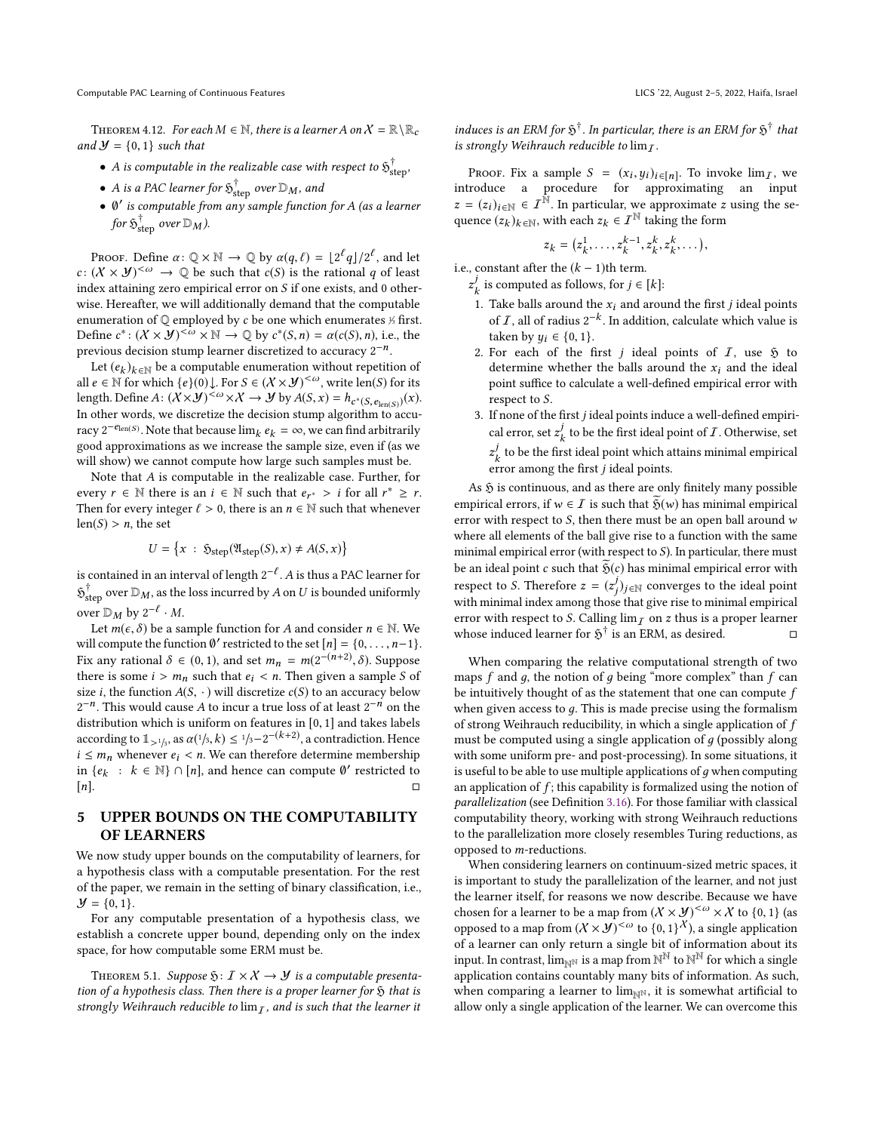Computable PAC Learning of Continuous Features Licence and the Control of Continuous Features Licence and the Continuous Features Licence and the Continuous Features Licence and the Control of Continuous Features Licence a

<span id="page-8-2"></span>THEOREM 4.12. For each  $M \in \mathbb{N}$ , there is a learner A on  $\mathcal{X} = \mathbb{R} \setminus \mathbb{R}_c$ and  $\mathcal{Y} = \{0, 1\}$  such that

- A is computable in the realizable case with respect to  $\mathfrak{H}^\dagger_{\text{step}}$ ,
- A is a PAC learner for  $\mathfrak{H}^\dagger_{\text{step}}$  over  $\mathbb{D}_M$ , and
- $\emptyset'$  is computable from any sample function for A (as a learner for  $\mathfrak{H}^{\dagger}_{\text{step}}$  over  $\mathbb{D}_M$ ).

Proof. Define  $\alpha: \mathbb{Q} \times \mathbb{N} \to \mathbb{Q}$  by  $\alpha(q, \ell) = \lfloor 2^{\ell}q \rfloor / 2^{\ell}$ , and let  $(X \times \mathbf{W}) \leq \omega \to \mathbb{Q}$  be such that  $c(S)$  is the rational q of least  $c: (X \times \mathcal{Y})^{\leq \omega} \rightarrow \mathbb{Q}$  be such that  $c(S)$  is the rational q of least index attaining zero empirical error on S if one exists, and 0 otherwise. Hereafter, we will additionally demand that the computable enumeration of  $\mathbb Q$  employed by c be one which enumerates  $\frac{1}{2}$  first.<br>Define  $c^*: (X \times Y) \le \omega \times \mathbb N \to \mathbb Q$  by  $c^*(S, n) = \alpha(c(S), n)$  i.e. the Define  $c^*: (X \times Y)^{<\omega} \times \mathbb{N} \to \mathbb{Q}$  by  $c^*(S, n) = \alpha(c(S), n)$ , i.e., the previous decision stump learner discretized to accuracy  $2^{-n}$ .

Let  $(e_k)_{k \in \mathbb{N}}$  be a computable enumeration without repetition of  $e \in \mathbb{N}$  for which  $LeV(0)$   $\parallel$  For  $S \in (X \times Y)^{<\omega}$  write len(S) for its all *e* ∈ N for which {*e*}(0)  $\downarrow$ . For *S* ∈ (*X* × *J* $)$ <sup><ω</sup>, write len(*S*) for its length. Define A:  $(X \times Y)^{<\omega} \times X \to Y$  by  $A(S, x) = h_{c^*(S, e_{\text{len}(S)})}(x)$ . In other words, we discretize the decision stump algorithm to accuracy  $2^{-e_{\text{len}(S)}}$ . Note that because  $\lim_{k \to \infty} e_k = \infty$ , we can find arbitrarily good approximations as we increase the sample size even if (as we k good approximations as we increase the sample size, even if (as we will show) we cannot compute how large such samples must be.

Note that A is computable in the realizable case. Further, for every  $r \in \mathbb{N}$  there is an  $i \in \mathbb{N}$  such that  $e_r^* > i$  for all  $r^* \ge r$ .<br>Then for every integer  $\ell > 0$  there is an  $n \in \mathbb{N}$  such that whenever Then for every integer  $\ell > 0$ , there is an  $n \in \mathbb{N}$  such that whenever  $len(S) > n$ , the set

$$
U = \left\{ x : \ \mathfrak{H}_{\text{step}}(\mathfrak{A}_{\text{step}}(S), x) \neq A(S, x) \right\}
$$

is contained in an interval of length  $2^{-\ell}$ . A is thus a PAC learner for  $\mathfrak{H}^{\dagger}_{\text{step}}$  over  $\mathbb{D}_M$ , as the loss incurred by A on U is bounded uniformly over  $\mathbb{D}_M$  by  $2^{-\ell} \cdot M$ .<br>Let  $m(\epsilon, \delta)$  be a squ

Let  $m(\epsilon, \delta)$  be a sample function for A and consider  $n \in \mathbb{N}$ . We will compute the function  $\emptyset'$  restricted to the set  $[n] = \{0, \ldots, n-1\}$ .<br>Fix only retional  $\delta \in (0, 1)$  and set  $m = m(2^{-(n+2)} \delta)$ . Suppose Fix any rational  $\delta \in (0, 1)$ , and set  $m_n = m(2^{-(n+2)}, \delta)$ . Suppose<br>there is some  $i > m$ , such that  $e_i > n$ . Then given a sample S of there is some  $i > m_n$  such that  $e_i < n$ . Then given a sample S of size *i*, the function  $A(S, \cdot)$  will discretize  $c(S)$  to an accuracy below  $2^{-n}$ . This would cause A to incur a true loss of at least  $2^{-n}$  on the distribution which is uniform on features in [0, 1] and takes labels distribution which is uniform on features in [0, <sup>1</sup>] and takes labels according to  $1 \leq i/3, k \leq 1/3-2^{-(k+2)}$ , a contradiction. Hence according to  $\mathbb{L}_{>1/3}$ , as  $\alpha(\frac{1}{3}, k) \leq \frac{1}{3} - 2^{-(k+2)}$ , a contradiction. Hence<br>  $i \leq m_n$  whenever  $e_i < n$ . We can therefore determine membership in  $\{e_k : k \in \mathbb{N}\}\cap [n]$ , and hence can compute  $\emptyset'$  restricted to  $\Box$  $[n]$ .

## <span id="page-8-0"></span>5 UPPER BOUNDS ON THE COMPUTABILITY OF LEARNERS

We now study upper bounds on the computability of learners, for a hypothesis class with a computable presentation. For the rest of the paper, we remain in the setting of binary classification, i.e.,  $\mathcal{Y} = \{0, 1\}.$ 

For any computable presentation of a hypothesis class, we establish a concrete upper bound, depending only on the index space, for how computable some ERM must be.

<span id="page-8-1"></span>THEOREM 5.1. Suppose  $\mathfrak{H}: I \times X \to Y$  is a computable presentation of a hypothesis class. Then there is a proper learner for  $\mathfrak H$  that is strongly Weihrauch reducible to  $\lim_{t \to \infty} I$ , and is such that the learner it

induces is an ERM for  $\mathfrak{H}^\dagger$ . In particular, there is an ERM for  $\mathfrak{H}^\dagger$  that is strongly Weihrauch reducible to  $\lim_{T}$ .

PROOF. Fix a sample  $S = (x_i, y_i)_{i \in [n]}$ . To invoke  $\lim_{T \to \infty} T$  we reduce introduce a procedure for approximating an input  $z = (z_i)_{i \in \mathbb{N}} \in I^{\mathbb{N}}$ . In particular, we approximate z using the sequence  $(z_k)_{k \in \mathbb{N}}$ , with each  $z_k \in I^{\mathbb{N}}$  taking the form

$$
z_k = (z_k^1, \ldots, z_k^{k-1}, z_k^k, z_k^k, \ldots),
$$

i.e., constant after the  $(k - 1)$ th term.

 $z_k^j$  is computed as follows, for  $j \in [k]$ :

- 1. Take balls around the  $x_i$  and around the first *j* ideal points of  $\overline{L}$  all of radius 2<sup>-k</sup>. In addition, solender which yous is of  $I$ , all of radius  $2^{-k}$ . In addition, calculate which value is taken by  $y_i \in \{0, 1\}.$
- 2. For each of the first  $j$  ideal points of  $I$ , use  $\mathfrak H$  to determine whether the balls around the  $x_i$  and the ideal point suffice to calculate a well-defined empirical error with respect to S.
- 3. If none of the first  $j$  ideal points induce a well-defined empirical error, set  $z_k^j$  to be the first ideal point of  $I$ . Otherwise, set  $\frac{f}{k}$  to be the first ideal point which attains minimal empirical  $\frac{1}{k}$  is the distribution points.

As  $\mathfrak H$  is continuous, and as there are only finitely many possible empirical errors, if  $w \in \mathcal{I}$  is such that  $\mathfrak{H}(w)$  has minimal empirical error with respect to  $S$ , then there must be an open ball around  $w$ where all elements of the ball give rise to a function with the same minimal empirical error (with respect to S). In particular, there must be an ideal point c such that  $\tilde{\mathfrak{H}}(c)$  has minimal empirical error with respect to S. Therefore  $z = (z_j^j)_{j \in \mathbb{N}}$  converges to the ideal point with minimal index among those that give rise to minimal empirical error with respect to *S*. Calling  $\lim_{\Delta} \rho$  on *z* thus is a proper learner whose induced learner for  $\tilde{S}^{\dagger}$  is an ERM, as desired. whose induced learner for  $\tilde{p}^{\dagger}$  is an ERM, as desired.  $\Box$ 

When comparing the relative computational strength of two maps  $f$  and  $g$ , the notion of  $g$  being "more complex" than  $f$  can be intuitively thought of as the statement that one can compute f when given access to  $q$ . This is made precise using the formalism of strong Weihrauch reducibility, in which a single application of  $f$ must be computed using a single application of  $q$  (possibly along with some uniform pre- and post-processing). In some situations, it is useful to be able to use multiple applications of  $g$  when computing an application of  $f$ ; this capability is formalized using the notion of parallelization (see Definition [3.16\)](#page-4-2). For those familiar with classical computability theory, working with strong Weihrauch reductions to the parallelization more closely resembles Turing reductions, as opposed to m-reductions.

When considering learners on continuum-sized metric spaces, it is important to study the parallelization of the learner, and not just the learner itself, for reasons we now describe. Because we have chosen for a learner to be a map from  $(X \times Y)^{<\omega} \times X$  to  $\{0, 1\}$  (as opposed to a map from  $(X \times Y)^{<\omega}$  to  $\{0,1\}^X$ ), a single application<br>of a learner can only return a single bit of information about its of a learner can only return a single bit of information about its input. In contrast,  $\lim_{N\to\infty}$  is a map from  $\mathbb{N}^{\mathbb{N}}$  to  $\mathbb{N}^{\mathbb{N}}$  for which a single application contains countably many bits of information. As such, when comparing a learner to  $\lim_{N\to\infty}$ , it is somewhat artificial to allow only a single application of the learner. We can overcome this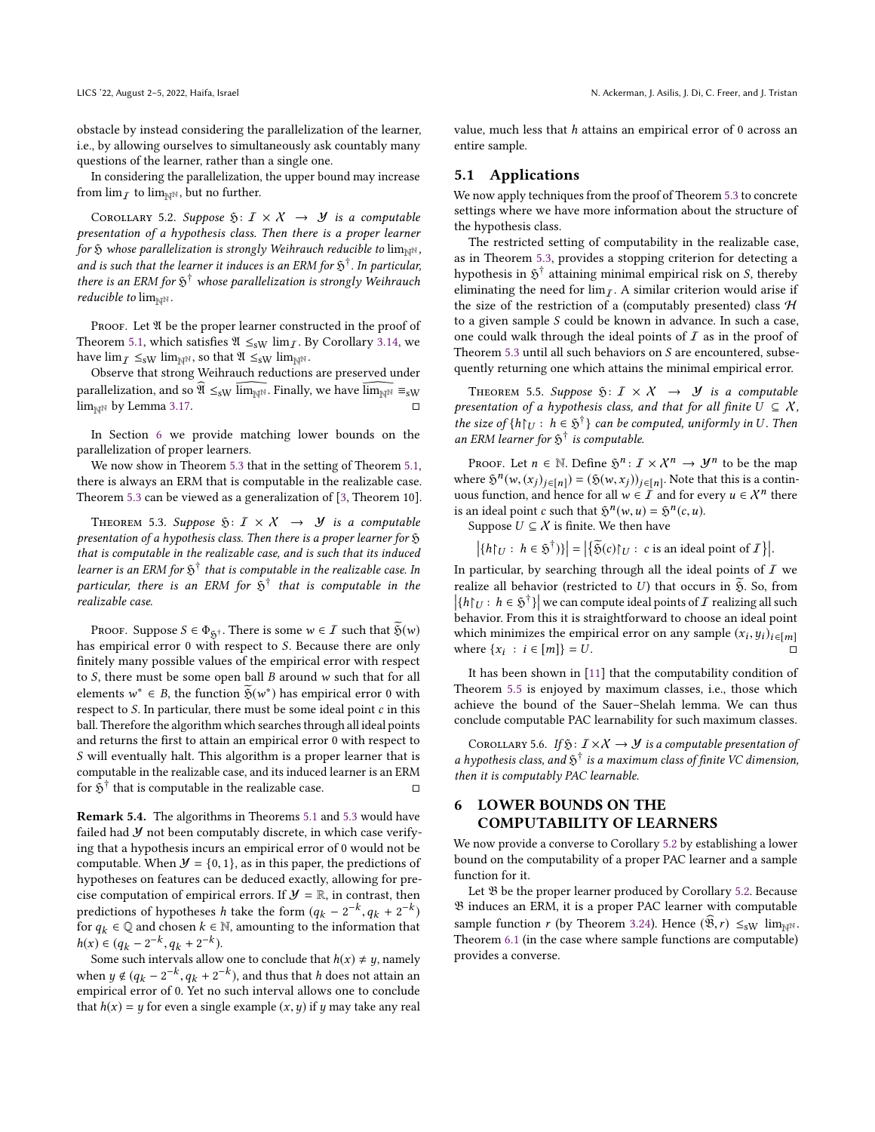LICS '22, August 2-5, 2022, Haifa, Israel N. Ackerman, J. Asilis, J. Di, C. Freer, and J. Tristan

obstacle by instead considering the parallelization of the learner, i.e., by allowing ourselves to simultaneously ask countably many questions of the learner, rather than a single one.

In considering the parallelization, the upper bound may increase from  $\lim_{T}$  to  $\lim_{N\to\infty}$ , but no further.

<span id="page-9-2"></span>COROLLARY 5.2. Suppose  $\mathfrak{H}: I \times X \rightarrow \mathcal{Y}$  is a computable presentation of a hypothesis class. Then there is a proper learner for  $\tilde{y}$  whose parallelization is strongly Weihrauch reducible to lim<sub>NN</sub>, and is such that the learner it induces is an ERM for  $\mathfrak{H}^{\dagger}$  . In particular, there is an ERM for  $\mathfrak{H}^{\dagger}$  whose parallelization is strongly Weihrauch reducible to  $\lim_{N\to\infty}$ .

PROOF. Let  $\mathfrak A$  be the proper learner constructed in the proof of Theorem [5.1,](#page-8-1) which satisfies  $\mathfrak{A} \leq_{\text{sW}} \lim_{\mathcal{I}}$ . By Corollary [3.14,](#page-4-3) we have  $\lim_{T \to \text{sw}} \lim_{\mathbb{N}^{\mathbb{N}}}$ , so that  $\mathfrak{A} \leq_{\text{sw}} \lim_{\mathbb{N}^{\mathbb{N}}}$ .

Observe that strong Weihrauch reductions are preserved under parallelization, and so  $\hat{\mathfrak{A}} \leq_{sW} \overline{\lim_{N^N}}$ . Finally, we have  $\overline{\lim_{N^N}} \equiv_{sW}$ <br> $\lim_{N^N}$   $\mathfrak{b}_V$  Lemma 3.17  $\lim_{\text{NN}}$  by Lemma [3.17.](#page-4-4)

In Section [6](#page-9-0) we provide matching lower bounds on the parallelization of proper learners.

We now show in Theorem [5.3](#page-9-1) that in the setting of Theorem [5.1,](#page-8-1) there is always an ERM that is computable in the realizable case. Theorem [5.3](#page-9-1) can be viewed as a generalization of [\[3,](#page-10-1) Theorem 10].

<span id="page-9-1"></span>THEOREM 5.3. Suppose  $\mathfrak{H}: I \times X \rightarrow \mathcal{Y}$  is a computable presentation of a hypothesis class. Then there is a proper learner for  $\mathfrak H$ that is computable in the realizable case, and is such that its induced learner is an ERM for  $\mathfrak{H}^{\dagger}$  that is computable in the realizable case. In particular, there is an ERM for  $\tilde{\mathfrak H}^{\dagger}$  that is computable in the realizable case.

PROOF. Suppose  $S \in \Phi_{\mathfrak{H}^{\dagger}}$ . There is some  $w \in \mathcal{I}$  such that  $\widetilde{\mathfrak{H}}(w)$ has empirical error <sup>0</sup> with respect to S. Because there are only finitely many possible values of the empirical error with respect to  $S$ , there must be some open ball  $B$  around  $w$  such that for all elements  $w^* \in B$ , the function  $\widetilde{\mathfrak{H}}(w^*)$  has empirical error 0 with respect to  $S$ . In particular, there must be some ideal point c in this respect to  $S$ . In particular, there must be some ideal point  $c$  in this ball. Therefore the algorithm which searches through all ideal points and returns the first to attain an empirical error 0 with respect to S will eventually halt. This algorithm is a proper learner that is computable in the realizable case, and its induced learner is an ERM for  $\tilde{\mathfrak H}^{\dagger}$  that is computable in the realizable case.  $\hfill \Box$ 

Remark 5.4. The algorithms in Theorems [5.1](#page-8-1) and [5.3](#page-9-1) would have failed had  $Y$  not been computably discrete, in which case verifying that a hypothesis incurs an empirical error of 0 would not be computable. When  $\mathcal{Y} = \{0, 1\}$ , as in this paper, the predictions of hypotheses on features can be deduced exactly, allowing for precise computation of empirical errors. If  $\mathcal{Y} = \mathbb{R}$ , in contrast, then predictions of hypotheses h take the form  $(q_k - 2^{-k}, q_k + 2^{-k})$ <br>for  $q_k \in \mathbb{Q}$  and chosen  $k \in \mathbb{N}$  amounting to the information that for  $q_k \in \mathbb{Q}$  and chosen  $k \in \mathbb{N}$ , amounting to the information that  $h(x) \in (q_k - 2^{-k}, q_k + 2^{-k}).$ <br>Some such intervals allow

Some such intervals allow one to conclude that  $h(x) \neq y$ , namely when  $y \notin (q_k - 2^{-k}, q_k + 2^{-k})$ , and thus that h does not attain an empirical error of 0. Vet no such interval allows one to conclude empirical error of 0. Yet no such interval allows one to conclude that  $h(x) = y$  for even a single example  $(x, y)$  if y may take any real value, much less that  $h$  attains an empirical error of 0 across an entire sample.

#### 5.1 Applications

We now apply techniques from the proof of Theorem [5.3](#page-9-1) to concrete settings where we have more information about the structure of the hypothesis class.

The restricted setting of computability in the realizable case, as in Theorem [5.3,](#page-9-1) provides a stopping criterion for detecting a hypothesis in  $\mathfrak{H}^{\dagger}$  attaining minimal empirical risk on S, thereby<br>aliminating the need for lim - A similar criterion would arise if eliminating the need for  $\lim_{\overline{I}}$ . A similar criterion would arise if the size of the restriction of a (computably presented) class  $H$ to a given sample S could be known in advance. In such a case, one could walk through the ideal points of  $I$  as in the proof of Theorem [5.3](#page-9-1) until all such behaviors on  $S$  are encountered, subsequently returning one which attains the minimal empirical error.

<span id="page-9-3"></span>THEOREM 5.5. Suppose  $\mathfrak{H}: I \times X \rightarrow \mathcal{Y}$  is a computable presentation of a hypothesis class, and that for all finite  $U \subseteq X$ , the size of  $\{h\}_{U} : h \in \tilde{\mathfrak{H}}^{\dagger}$  can be computed, uniformly in U. Then<br>an EPM learner for  $\tilde{\mathfrak{H}}^{\dagger}$  is computedle. an ERM learner for  $\tilde{p}^{\dagger}$  is computable.

PROOF. Let  $n \in \mathbb{N}$ . Define  $\mathfrak{H}^n : \mathcal{I} \times \mathcal{X}^n \to \mathcal{Y}^n$  to be the map where  $\mathfrak{H}^n(w,(x_j)_{j \in [n]}) = (\mathfrak{H}(w,x_j))_{j \in [n]}$ . Note that this is a continuous function and hence for all  $w \in \mathcal{T}$  and for every  $u \in \mathcal{X}^n$  there uous function, and hence for all  $w \in \overline{I}$  and for every  $u \in \mathcal{X}^n$  there is an ideal point c such that  $\mathfrak{H}^n(w, u) = \mathfrak{H}^n(c, u)$ .<br>Suppose  $U \subset X$  is finite We then have

Suppose  $U \subseteq \mathcal{X}$  is finite. We then have

 $|\{h\}_{U}: h \in \mathfrak{H}^{\dagger}\}\| = |\{\widetilde{\mathfrak{H}}(c)\}_{U}: c \text{ is an ideal point of } I\}|$ 

In particular, by searching through all the ideal points of  $\overline{I}$  we realize all behavior (restricted to U) that occurs in  $\tilde{\mathfrak{H}}$ . So, from <br>Uhlu:  $h \in \tilde{\mathfrak{H}}$  l we can compute ideal points of  $I$  realizing all such  $\left|\{h\}_{U}: h \in \mathfrak{H}^{\dagger}\right|\right|$  we can compute ideal points of  $I$  realizing all such behavior. From this it is straightforward to choose an ideal point behavior. From this it is straightforward to choose an ideal point which minimizes the empirical error on any sample  $(x_i, y_i)_{i \in [m]}$ <br>where  $\{x_i : i \in [m]\} - I$ where  $\{x_i : i \in [m]\} = \overline{U}$ .

It has been shown in [\[11\]](#page-11-14) that the computability condition of Theorem [5.5](#page-9-3) is enjoyed by maximum classes, i.e., those which achieve the bound of the Sauer–Shelah lemma. We can thus conclude computable PAC learnability for such maximum classes.

COROLLARY 5.6. If  $\mathfrak{H}: I \times X \to Y$  is a computable presentation of a hypothesis class, and  $\mathfrak{H}^{\dagger}$  is a maximum class of finite VC dimension, then it is computably PAC learnable.

## <span id="page-9-0"></span>6 LOWER BOUNDS ON THE COMPUTABILITY OF LEARNERS

We now provide a converse to Corollary [5.2](#page-9-2) by establishing a lower bound on the computability of a proper PAC learner and a sample function for it.

Let  $\mathfrak B$  be the proper learner produced by Corollary [5.2.](#page-9-2) Because B induces an ERM, it is a proper PAC learner with computable sample function r (by Theorem [3.24\)](#page-5-1). Hence  $(\mathfrak{B},r) \leq_{\text{sW}} \lim_{N\to\mathbb{N}}$ . Theorem [6.1](#page-10-4) (in the case where sample functions are computable) provides a converse.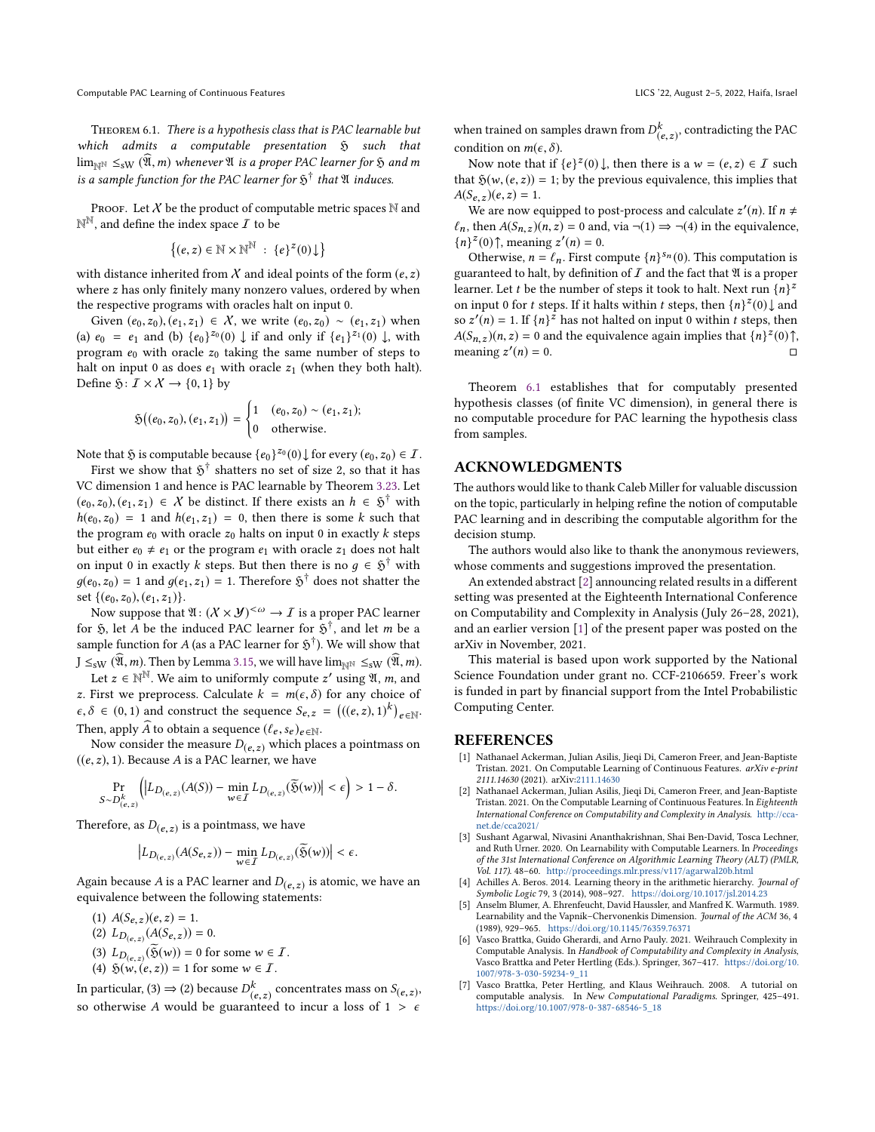<span id="page-10-4"></span>Theorem 6.1. There is a hypothesis class that is PAC learnable but which admits a computable presentation  $\mathfrak H$  such that  $\lim_{N\to\infty} S_{\text{SW}}(\mathfrak{A},m)$  whenever  $\mathfrak A$  is a proper PAC learner for  $\mathfrak H$  and m is a sample function for the PAC learner for  $\mathfrak{H}^{\dagger}$  that  $\mathfrak A$  induces.

PROOF. Let  $X$  be the product of computable metric spaces  $N$  and  $\mathbb{N}^{\mathbb{N}}$ , and define the index space  $I$  to be

$$
\left\{(e,z)\in\mathbb{N}\times\mathbb{N}^{\mathbb{N}}\;:\;\{e\}^z(0)\!\downarrow\right\}
$$

with distance inherited from  $\chi$  and ideal points of the form  $(e, z)$ where z has only finitely many nonzero values, ordered by when the respective programs with oracles halt on input 0.

Given  $(e_0, z_0), (e_1, z_1) \in X$ , we write  $(e_0, z_0) \sim (e_1, z_1)$  when (a)  $e_0 = e_1$  and (b)  $\{e_0\}^{z_0}(0) \downarrow$  if and only if  $\{e_1\}^{z_1}(0) \downarrow$ , with program  $e_0$  with oracle  $z_0$  taking the same number of steps to halt on input 0 as does  $e_1$  with oracle  $z_1$  (when they both halt). Define  $\mathfrak{H}: I \times \mathcal{X} \to \{0, 1\}$  by

$$
\mathfrak{H}((e_0, z_0), (e_1, z_1)) = \begin{cases} 1 & (e_0, z_0) \sim (e_1, z_1); \\ 0 & \text{otherwise.} \end{cases}
$$

Note that  $\tilde{y}$  is computable because  $\{e_0\}^{z_0}(0) \downarrow$  for every  $(e_0, z_0) \in I$ .<br>First we show that  $\tilde{y}^{\dagger}$  shatters no set of size 2, so that it has

First we show that  $\mathfrak{H}^{\dagger}$  shatters no set of size 2, so that it has VC dimension 1 and hence is PAC learnable by Theorem [3.23.](#page-5-0) Let  $(e_0, z_0), (e_1, z_1) \in \mathcal{X}$  be distinct. If there exists an  $h \in \mathfrak{H}^{\dagger}$  with  $h(e_0, z_0) = 1$  and  $h(e_1, z_1) = 0$ , then there is some k such that  $h(e_0, z_0) = 1$  and  $h(e_1, z_1) = 0$ , then there is some k such that the program  $e_0$  with oracle  $z_0$  halts on input 0 in exactly  $k$  steps but either  $e_0 \neq e_1$  or the program  $e_1$  with oracle  $z_1$  does not halt on input 0 in exactly k steps. But then there is no  $g \in \mathfrak{H}^{\dagger}$  with  $g(g, \tau_0) = 1$  and  $g(g, \tau_0) = 1$ . Therefore  $\mathfrak{H}^{\dagger}$  does not shotter the  $g(e_0, z_0) = 1$  and  $g(e_1, z_1) = 1$ . Therefore  $\mathfrak{H}^{\dagger}$  does not shatter the set  $\{(e_0, z_0), (e_1, z_1)\}.$ 

Now suppose that  $\mathfrak{A}: (\mathcal{X} \times \mathcal{Y})^{\leq \omega} \to \mathcal{I}$  is a proper PAC learner for  $\tilde{S}$ , let A be the induced PAC learner for  $\tilde{S}^{\dagger}$ , and let m be a sample function for A (as a PAC learner for  $\tilde{S}^{\dagger}$ ). We will show that sample function for A (as a PAC learner for  $\mathfrak{H}^{\dagger}$ ). We will show that  $I \leq \mathfrak{H}$  m. Than by Lamma 2.15, we will have  $\lim_{\delta \to 0} \mathfrak{H}$  m.  $J \leq_{\text{SW}} (\widehat{\mathfrak{A}},m)$ . Then by Lemma [3.15,](#page-4-5) we will have  $\lim_{\mathbb{N}^{\mathbb{N}}} \leq_{\text{SW}} (\widehat{\mathfrak{A}},m)$ .

Let  $z \in \mathbb{N}^N$ . We aim to uniformly compute  $z'$  using  $\mathfrak{A}$ ,  $m$ , and  $\mathfrak{F}$  is the preprocess. Colculate  $k = m(\epsilon, \delta)$  for any choice of z. First we preprocess. Calculate  $k = m(\epsilon, \delta)$  for any choice of  $\epsilon, \delta \in (0, 1)$  and construct the sequence  $S_{e, z} = (((e, z), 1)^k)_{e \in \mathbb{N}}$ .<br>Then apply  $\hat{A}$  to obtain a sequence  $((s, z), z)$ . Then, apply  $\widehat{A}$  to obtain a sequence  $(\ell_e, s_e)_{e \in \mathbb{N}}$ .

Now consider the measure  $D(e, z)$  which places a pointmass on  $((e, z), 1)$ . Because A is a PAC learner, we have

$$
\Pr_{S \sim D^k_{(e,z)}} \Big( \big| L_{D_{(e,z)}} (A(S)) - \min_{w \in I} L_{D_{(e,z)}} (\widetilde{\mathfrak{H}}(w)) \big| < \epsilon \Big) > 1 - \delta.
$$

Therefore, as  $D_{(e, z)}$  is a point<br>mass, we have

$$
\left| L_{D_{(e,z)}} (A(S_{e,z})) - \min_{w \in \mathcal{I}} L_{D_{(e,z)}} (\widetilde{\mathfrak{H}}(w)) \right| < \epsilon.
$$

Again because A is a PAC learner and  $D(e, z)$  is atomic, we have an equivalence between the following statements: equivalence between the following statements:

- (1)  $A(S_{e,z})(e, z) = 1$ .
- (2)  $L_{D(e,z)}(A(S_{e,z})) = 0.$
- (3)  $L_{D(e,z)}(\widetilde{\mathfrak{H}}(w)) = 0$  for some  $w \in I$ .<br>(4)  $\mathfrak{H}(w)(e,z) = 1$  for some  $w \in I$ .
- (4)  $\mathfrak{H}(w, (e, z)) = 1$  for some  $w \in \mathcal{I}$ .

In particular, (3)  $\Rightarrow$  (2) because  $D_{(e,z)}^k$  concentrates mass on  $S_{(e,z)}$ , So otherwise A would be guaranteed to incur a loss of  $1 > \epsilon$ 

when trained on samples drawn from  $D_{(e,z)}^k$ , contradicting the PAC condition on  $m(e, \delta)$ condition on  $m(\epsilon, \delta)$ .

Now note that if  $\{e\}^z(0)$ , then there is a  $w = (e, z) \in I$  such that  $\mathfrak{h}(w(e, z)) = 1$  by the previous equivalence this implies that that  $\mathfrak{H}(w, (e, z)) = 1$ ; by the previous equivalence, this implies that  $A(S_{e,z})(e, z) = 1.$ 

We are now equipped to post-process and calculate  $z'(n)$ . If  $n \neq$  then  $A(S_1)(n, z) = 0$  and  $y(n, z)(n, z) = a(1) \Rightarrow z(1)$  in the equivalence  $\ell_n$ , then  $A(S_{n,z})(n,z) = 0$  and, via  $\neg(1) \Rightarrow \neg(4)$  in the equivalence,  ${n}^{z}(0)$ <sup>†</sup>, meaning  $z'(n) = 0$ .<br>Otherwise  $n - \ell$  First co

Otherwise,  $n = \ell_n$ . First compute  $\{n\}^{s_n}(0)$ . This computation is<br>contraded to half, by definition of  $\overline{L}$  and the fact that  $\overline{N}$  is a proper guaranteed to halt, by definition of  $I$  and the fact that  $\mathfrak A$  is a proper learner. Let t be the number of steps it took to halt. Next run  $\{n\}^2$ <br>on input 0 for t steps. If it halts within t steps, then  $\{n\}^2(0)$  and on input 0 for t steps. If it halts within t steps, then  $\{n\}^2(0)$  and  $\infty$   $\mathbb{Z}^{\ell}(n) = 1$ . If  $\{n\}^2$  has not halted on input 0 within t steps, then so  $z'(n) = 1$ . If  ${n}z^2$  has not halted on input 0 within t steps, then  $A(S_1, n; z) = 0$  and the equivalence again implies that  $In^1Z(0)$ .  $A(S_{n,z})(n, z) = 0$  and the equivalence again implies that  $\{n\}^z(0)$ , meaning  $z'(n) = 0$ meaning z ′  $(n) = 0.$ 

Theorem [6.1](#page-10-4) establishes that for computably presented hypothesis classes (of finite VC dimension), in general there is no computable procedure for PAC learning the hypothesis class from samples.

## ACKNOWLEDGMENTS

The authors would like to thank Caleb Miller for valuable discussion on the topic, particularly in helping refine the notion of computable PAC learning and in describing the computable algorithm for the decision stump.

The authors would also like to thank the anonymous reviewers, whose comments and suggestions improved the presentation.

An extended abstract [\[2\]](#page-10-7) announcing related results in a different setting was presented at the Eighteenth International Conference on Computability and Complexity in Analysis (July 26–28, 2021), and an earlier version [\[1\]](#page-10-2) of the present paper was posted on the arXiv in November, 2021.

This material is based upon work supported by the National Science Foundation under grant no. CCF-2106659. Freer's work is funded in part by financial support from the Intel Probabilistic Computing Center.

### REFERENCES

- <span id="page-10-2"></span>[1] Nathanael Ackerman, Julian Asilis, Jieqi Di, Cameron Freer, and Jean-Baptiste Tristan. 2021. On Computable Learning of Continuous Features. arXiv e-print 2111.14630 (2021). arXiv[:2111.14630](https://arxiv.org/abs/2111.14630)
- <span id="page-10-7"></span>[2] Nathanael Ackerman, Julian Asilis, Jieqi Di, Cameron Freer, and Jean-Baptiste Tristan. 2021. On the Computable Learning of Continuous Features. In Eighteenth International Conference on Computability and Complexity in Analysis. [http://cca](http://cca-net.de/cca2021/)[net.de/cca2021/](http://cca-net.de/cca2021/)
- <span id="page-10-1"></span>[3] Sushant Agarwal, Nivasini Ananthakrishnan, Shai Ben-David, Tosca Lechner, and Ruth Urner. 2020. On Learnability with Computable Learners. In Proceedings of the 31st International Conference on Algorithmic Learning Theory (ALT) (PMLR, Vol. 117). 48–60. <http://proceedings.mlr.press/v117/agarwal20b.html>
- <span id="page-10-3"></span>Achilles A. Beros. 2014. Learning theory in the arithmetic hierarchy. Journal of Symbolic Logic 79, 3 (2014), 908–927. <https://doi.org/10.1017/jsl.2014.23>
- <span id="page-10-0"></span>[5] Anselm Blumer, A. Ehrenfeucht, David Haussler, and Manfred K. Warmuth. 1989. Learnability and the Vapnik–Chervonenkis Dimension. Journal of the ACM 36, 4 (1989), 929–965. <https://doi.org/10.1145/76359.76371>
- <span id="page-10-6"></span>[6] Vasco Brattka, Guido Gherardi, and Arno Pauly. 2021. Weihrauch Complexity in Computable Analysis. In Handbook of Computability and Complexity in Analysis, Vasco Brattka and Peter Hertling (Eds.). Springer, 367–417. [https://doi.org/10.](https://doi.org/10.1007/978-3-030-59234-9_11) [1007/978-3-030-59234-9\\_11](https://doi.org/10.1007/978-3-030-59234-9_11)
- <span id="page-10-5"></span>[7] Vasco Brattka, Peter Hertling, and Klaus Weihrauch. 2008. A tutorial on computable analysis. In New Computational Paradigms. Springer, 425–491. [https://doi.org/10.1007/978-0-387-68546-5\\_18](https://doi.org/10.1007/978-0-387-68546-5_18)